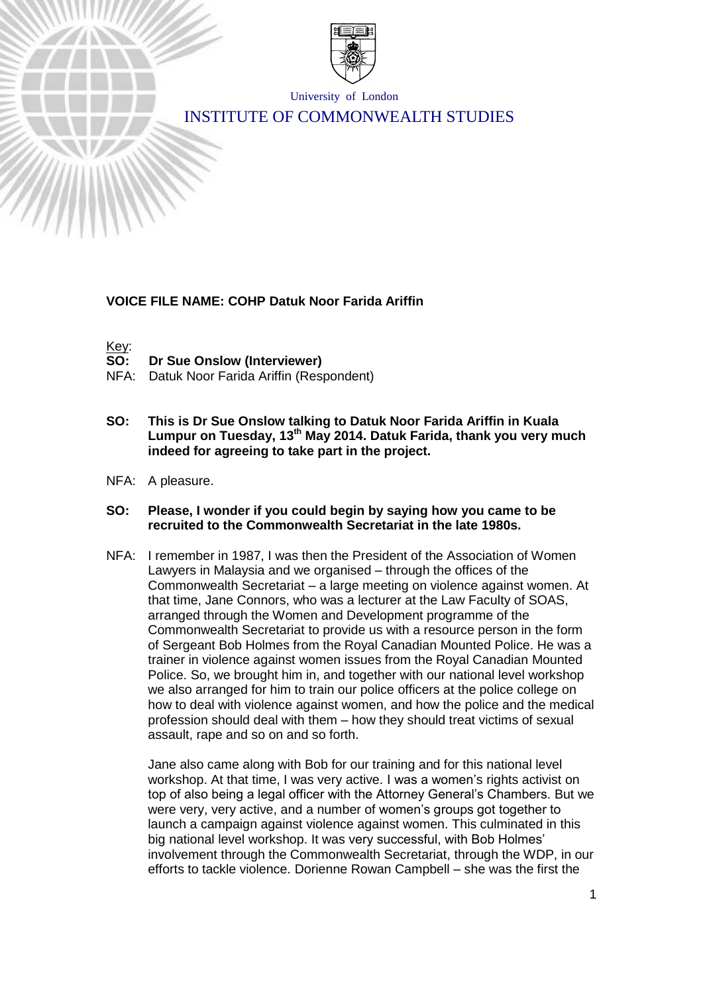

University of London

# INSTITUTE OF COMMONWEALTH STUDIES

### **VOICE FILE NAME: COHP Datuk Noor Farida Ariffin**

Key:<br>SO:

- **SO: Dr Sue Onslow (Interviewer)**
- NFA: Datuk Noor Farida Ariffin (Respondent)
- **SO: This is Dr Sue Onslow talking to Datuk Noor Farida Ariffin in Kuala Lumpur on Tuesday, 13th May 2014. Datuk Farida, thank you very much indeed for agreeing to take part in the project.**
- NFA: A pleasure.

#### **SO: Please, I wonder if you could begin by saying how you came to be recruited to the Commonwealth Secretariat in the late 1980s.**

NFA: I remember in 1987, I was then the President of the Association of Women Lawyers in Malaysia and we organised – through the offices of the Commonwealth Secretariat – a large meeting on violence against women. At that time, Jane Connors, who was a lecturer at the Law Faculty of SOAS, arranged through the Women and Development programme of the Commonwealth Secretariat to provide us with a resource person in the form of Sergeant Bob Holmes from the Royal Canadian Mounted Police. He was a trainer in violence against women issues from the Royal Canadian Mounted Police. So, we brought him in, and together with our national level workshop we also arranged for him to train our police officers at the police college on how to deal with violence against women, and how the police and the medical profession should deal with them – how they should treat victims of sexual assault, rape and so on and so forth.

Jane also came along with Bob for our training and for this national level workshop. At that time, I was very active. I was a women's rights activist on top of also being a legal officer with the Attorney General's Chambers. But we were very, very active, and a number of women's groups got together to launch a campaign against violence against women. This culminated in this big national level workshop. It was very successful, with Bob Holmes' involvement through the Commonwealth Secretariat, through the WDP, in our efforts to tackle violence. Dorienne Rowan Campbell – she was the first the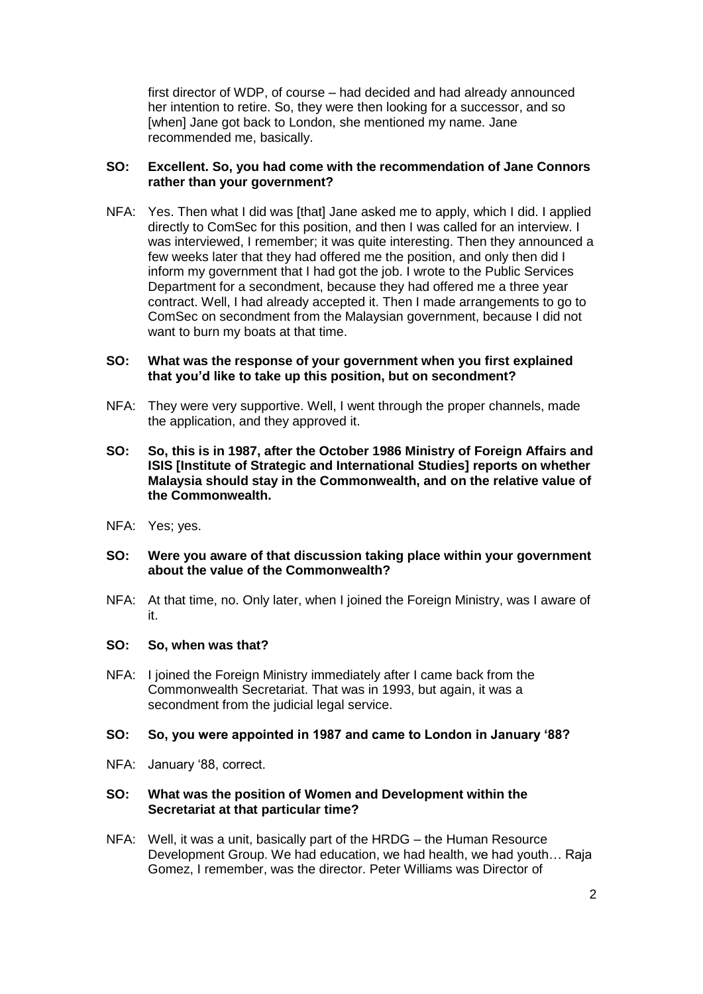first director of WDP, of course – had decided and had already announced her intention to retire. So, they were then looking for a successor, and so [when] Jane got back to London, she mentioned my name. Jane recommended me, basically.

### **SO: Excellent. So, you had come with the recommendation of Jane Connors rather than your government?**

NFA: Yes. Then what I did was [that] Jane asked me to apply, which I did. I applied directly to ComSec for this position, and then I was called for an interview. I was interviewed, I remember; it was quite interesting. Then they announced a few weeks later that they had offered me the position, and only then did I inform my government that I had got the job. I wrote to the Public Services Department for a secondment, because they had offered me a three year contract. Well, I had already accepted it. Then I made arrangements to go to ComSec on secondment from the Malaysian government, because I did not want to burn my boats at that time.

### **SO: What was the response of your government when you first explained that you'd like to take up this position, but on secondment?**

- NFA: They were very supportive. Well, I went through the proper channels, made the application, and they approved it.
- **SO: So, this is in 1987, after the October 1986 Ministry of Foreign Affairs and ISIS [Institute of Strategic and International Studies] reports on whether Malaysia should stay in the Commonwealth, and on the relative value of the Commonwealth.**
- NFA: Yes; yes.
- **SO: Were you aware of that discussion taking place within your government about the value of the Commonwealth?**
- NFA: At that time, no. Only later, when I joined the Foreign Ministry, was I aware of it.

#### **SO: So, when was that?**

NFA: I joined the Foreign Ministry immediately after I came back from the Commonwealth Secretariat. That was in 1993, but again, it was a secondment from the judicial legal service.

#### **SO: So, you were appointed in 1987 and came to London in January '88?**

NFA: January '88, correct.

#### **SO: What was the position of Women and Development within the Secretariat at that particular time?**

NFA: Well, it was a unit, basically part of the HRDG – the Human Resource Development Group. We had education, we had health, we had youth… Raja Gomez, I remember, was the director. Peter Williams was Director of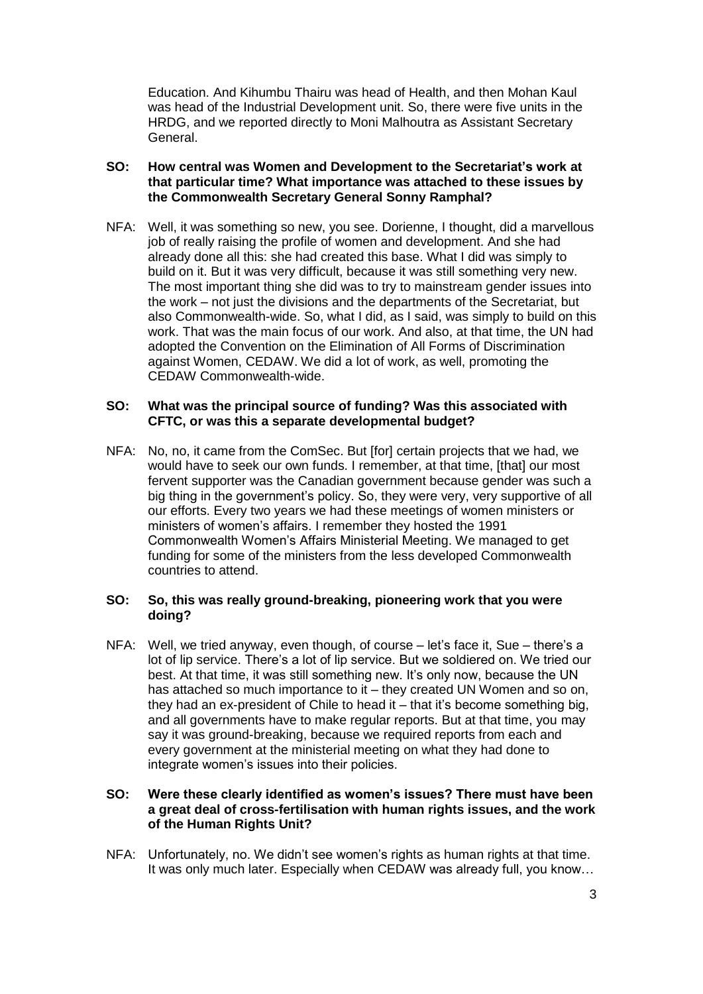Education. And Kihumbu Thairu was head of Health, and then Mohan Kaul was head of the Industrial Development unit. So, there were five units in the HRDG, and we reported directly to Moni Malhoutra as Assistant Secretary General.

# **SO: How central was Women and Development to the Secretariat's work at that particular time? What importance was attached to these issues by the Commonwealth Secretary General Sonny Ramphal?**

NFA: Well, it was something so new, you see. Dorienne, I thought, did a marvellous job of really raising the profile of women and development. And she had already done all this: she had created this base. What I did was simply to build on it. But it was very difficult, because it was still something very new. The most important thing she did was to try to mainstream gender issues into the work – not just the divisions and the departments of the Secretariat, but also Commonwealth-wide. So, what I did, as I said, was simply to build on this work. That was the main focus of our work. And also, at that time, the UN had adopted the Convention on the Elimination of All Forms of Discrimination against Women, CEDAW. We did a lot of work, as well, promoting the CEDAW Commonwealth-wide.

### **SO: What was the principal source of funding? Was this associated with CFTC, or was this a separate developmental budget?**

NFA: No, no, it came from the ComSec. But [for] certain projects that we had, we would have to seek our own funds. I remember, at that time, [that] our most fervent supporter was the Canadian government because gender was such a big thing in the government's policy. So, they were very, very supportive of all our efforts. Every two years we had these meetings of women ministers or ministers of women's affairs. I remember they hosted the 1991 Commonwealth Women's Affairs Ministerial Meeting. We managed to get funding for some of the ministers from the less developed Commonwealth countries to attend.

### **SO: So, this was really ground-breaking, pioneering work that you were doing?**

NFA: Well, we tried anyway, even though, of course – let's face it, Sue – there's a lot of lip service. There's a lot of lip service. But we soldiered on. We tried our best. At that time, it was still something new. It's only now, because the UN has attached so much importance to it – they created UN Women and so on, they had an ex-president of Chile to head it – that it's become something big, and all governments have to make regular reports. But at that time, you may say it was ground-breaking, because we required reports from each and every government at the ministerial meeting on what they had done to integrate women's issues into their policies.

#### **SO: Were these clearly identified as women's issues? There must have been a great deal of cross-fertilisation with human rights issues, and the work of the Human Rights Unit?**

NFA: Unfortunately, no. We didn't see women's rights as human rights at that time. It was only much later. Especially when CEDAW was already full, you know…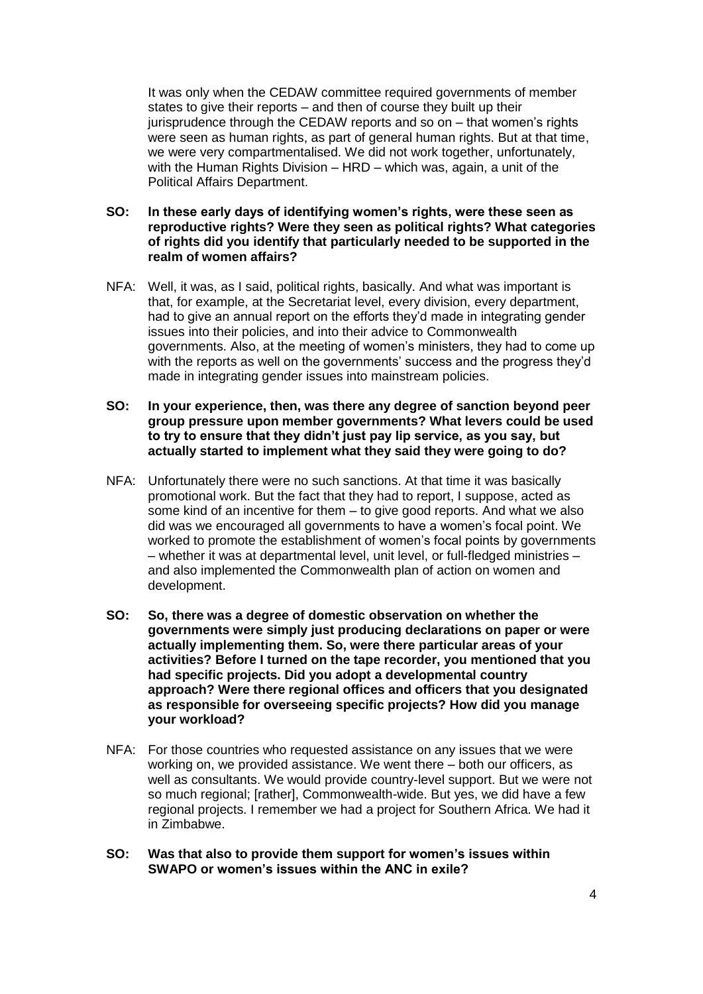It was only when the CEDAW committee required governments of member states to give their reports – and then of course they built up their jurisprudence through the CEDAW reports and so on – that women's rights were seen as human rights, as part of general human rights. But at that time, we were very compartmentalised. We did not work together, unfortunately, with the Human Rights Division – HRD – which was, again, a unit of the Political Affairs Department.

- **SO: In these early days of identifying women's rights, were these seen as reproductive rights? Were they seen as political rights? What categories of rights did you identify that particularly needed to be supported in the realm of women affairs?**
- NFA: Well, it was, as I said, political rights, basically. And what was important is that, for example, at the Secretariat level, every division, every department, had to give an annual report on the efforts they'd made in integrating gender issues into their policies, and into their advice to Commonwealth governments. Also, at the meeting of women's ministers, they had to come up with the reports as well on the governments' success and the progress they'd made in integrating gender issues into mainstream policies.
- **SO: In your experience, then, was there any degree of sanction beyond peer group pressure upon member governments? What levers could be used to try to ensure that they didn't just pay lip service, as you say, but actually started to implement what they said they were going to do?**
- NFA: Unfortunately there were no such sanctions. At that time it was basically promotional work. But the fact that they had to report, I suppose, acted as some kind of an incentive for them – to give good reports. And what we also did was we encouraged all governments to have a women's focal point. We worked to promote the establishment of women's focal points by governments – whether it was at departmental level, unit level, or full-fledged ministries – and also implemented the Commonwealth plan of action on women and development.
- **SO: So, there was a degree of domestic observation on whether the governments were simply just producing declarations on paper or were actually implementing them. So, were there particular areas of your activities? Before I turned on the tape recorder, you mentioned that you had specific projects. Did you adopt a developmental country approach? Were there regional offices and officers that you designated as responsible for overseeing specific projects? How did you manage your workload?**
- NFA: For those countries who requested assistance on any issues that we were working on, we provided assistance. We went there – both our officers, as well as consultants. We would provide country-level support. But we were not so much regional; [rather], Commonwealth-wide. But yes, we did have a few regional projects. I remember we had a project for Southern Africa. We had it in Zimbabwe.
- **SO: Was that also to provide them support for women's issues within SWAPO or women's issues within the ANC in exile?**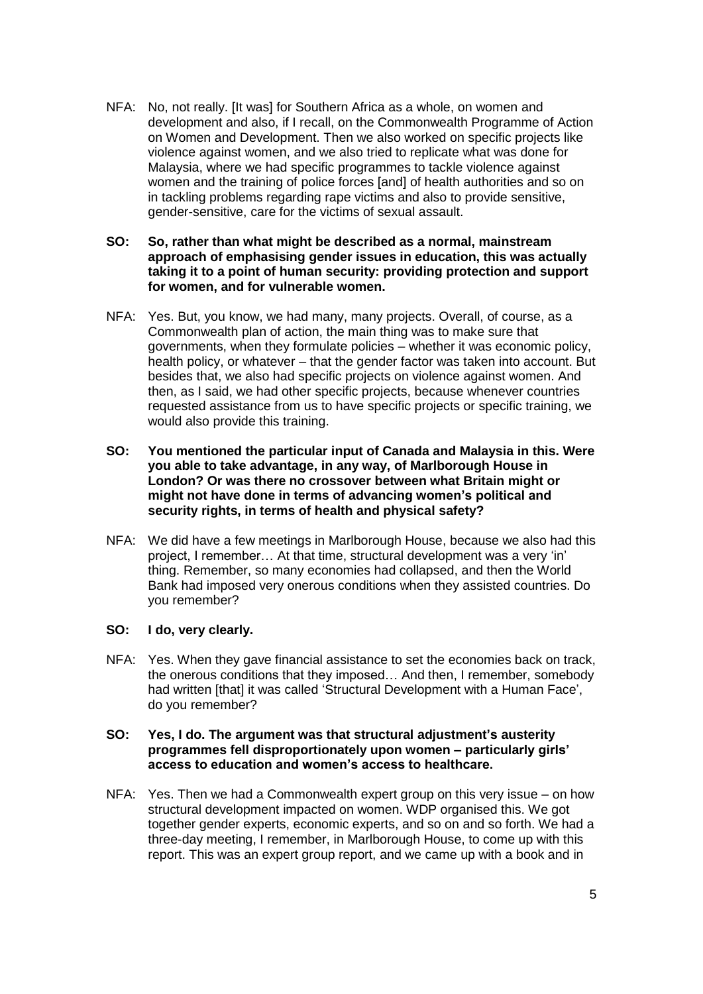- NFA: No, not really. [It was] for Southern Africa as a whole, on women and development and also, if I recall, on the Commonwealth Programme of Action on Women and Development. Then we also worked on specific projects like violence against women, and we also tried to replicate what was done for Malaysia, where we had specific programmes to tackle violence against women and the training of police forces [and] of health authorities and so on in tackling problems regarding rape victims and also to provide sensitive, gender-sensitive, care for the victims of sexual assault.
- **SO: So, rather than what might be described as a normal, mainstream approach of emphasising gender issues in education, this was actually taking it to a point of human security: providing protection and support for women, and for vulnerable women.**
- NFA: Yes. But, you know, we had many, many projects. Overall, of course, as a Commonwealth plan of action, the main thing was to make sure that governments, when they formulate policies – whether it was economic policy, health policy, or whatever – that the gender factor was taken into account. But besides that, we also had specific projects on violence against women. And then, as I said, we had other specific projects, because whenever countries requested assistance from us to have specific projects or specific training, we would also provide this training.
- **SO: You mentioned the particular input of Canada and Malaysia in this. Were you able to take advantage, in any way, of Marlborough House in London? Or was there no crossover between what Britain might or might not have done in terms of advancing women's political and security rights, in terms of health and physical safety?**
- NFA: We did have a few meetings in Marlborough House, because we also had this project, I remember… At that time, structural development was a very 'in' thing. Remember, so many economies had collapsed, and then the World Bank had imposed very onerous conditions when they assisted countries. Do you remember?

#### **SO: I do, very clearly.**

NFA: Yes. When they gave financial assistance to set the economies back on track, the onerous conditions that they imposed… And then, I remember, somebody had written [that] it was called 'Structural Development with a Human Face', do you remember?

# **SO: Yes, I do. The argument was that structural adjustment's austerity programmes fell disproportionately upon women – particularly girls' access to education and women's access to healthcare.**

NFA: Yes. Then we had a Commonwealth expert group on this very issue – on how structural development impacted on women. WDP organised this. We got together gender experts, economic experts, and so on and so forth. We had a three-day meeting, I remember, in Marlborough House, to come up with this report. This was an expert group report, and we came up with a book and in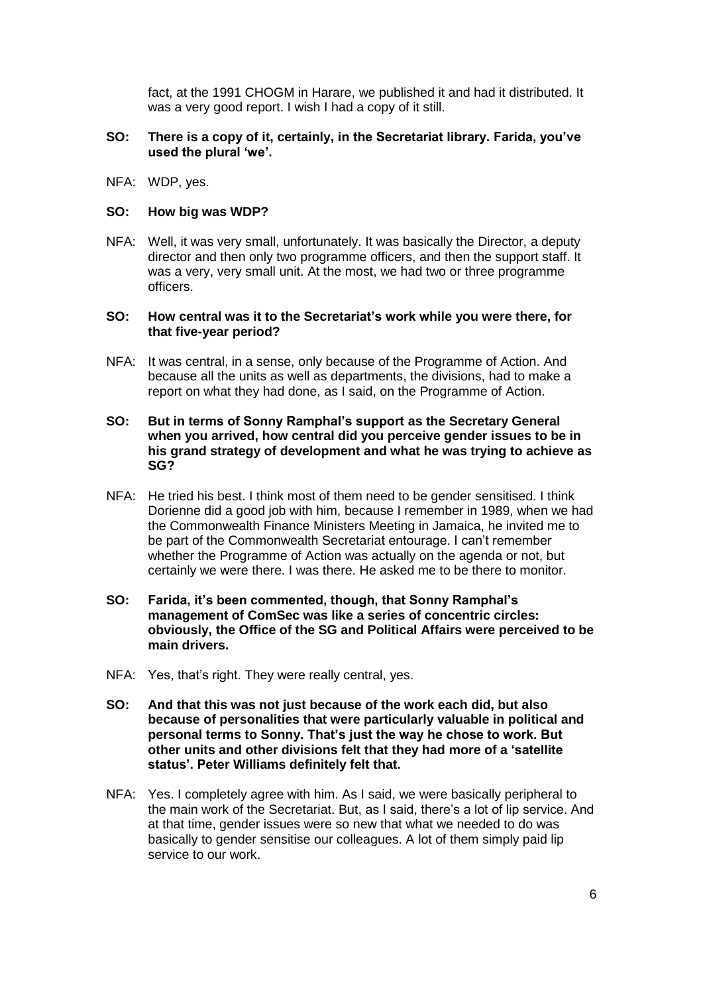fact, at the 1991 CHOGM in Harare, we published it and had it distributed. It was a very good report. I wish I had a copy of it still.

### **SO: There is a copy of it, certainly, in the Secretariat library. Farida, you've used the plural 'we'.**

NFA: WDP, yes.

### **SO: How big was WDP?**

NFA: Well, it was very small, unfortunately. It was basically the Director, a deputy director and then only two programme officers, and then the support staff. It was a very, very small unit. At the most, we had two or three programme officers.

### **SO: How central was it to the Secretariat's work while you were there, for that five-year period?**

NFA: It was central, in a sense, only because of the Programme of Action. And because all the units as well as departments, the divisions, had to make a report on what they had done, as I said, on the Programme of Action.

### **SO: But in terms of Sonny Ramphal's support as the Secretary General when you arrived, how central did you perceive gender issues to be in his grand strategy of development and what he was trying to achieve as SG?**

- NFA: He tried his best. I think most of them need to be gender sensitised. I think Dorienne did a good job with him, because I remember in 1989, when we had the Commonwealth Finance Ministers Meeting in Jamaica, he invited me to be part of the Commonwealth Secretariat entourage. I can't remember whether the Programme of Action was actually on the agenda or not, but certainly we were there. I was there. He asked me to be there to monitor.
- **SO: Farida, it's been commented, though, that Sonny Ramphal's management of ComSec was like a series of concentric circles: obviously, the Office of the SG and Political Affairs were perceived to be main drivers.**
- NFA: Yes, that's right. They were really central, yes.
- **SO: And that this was not just because of the work each did, but also because of personalities that were particularly valuable in political and personal terms to Sonny. That's just the way he chose to work. But other units and other divisions felt that they had more of a 'satellite status'. Peter Williams definitely felt that.**
- NFA: Yes. I completely agree with him. As I said, we were basically peripheral to the main work of the Secretariat. But, as I said, there's a lot of lip service. And at that time, gender issues were so new that what we needed to do was basically to gender sensitise our colleagues. A lot of them simply paid lip service to our work.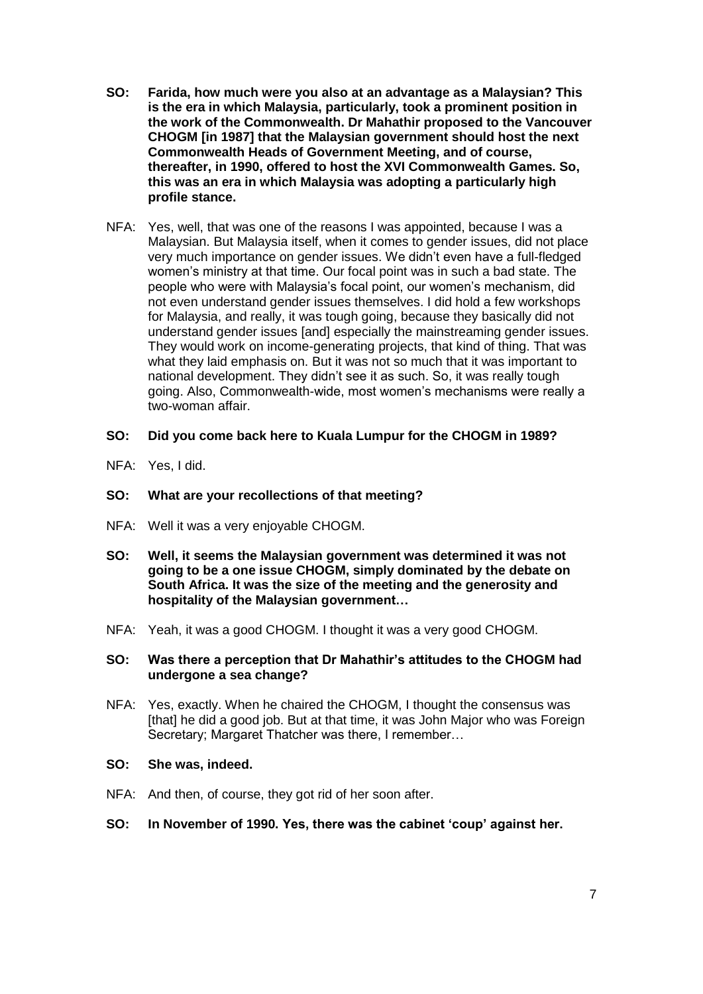- **SO: Farida, how much were you also at an advantage as a Malaysian? This is the era in which Malaysia, particularly, took a prominent position in the work of the Commonwealth. Dr Mahathir proposed to the Vancouver CHOGM [in 1987] that the Malaysian government should host the next Commonwealth Heads of Government Meeting, and of course, thereafter, in 1990, offered to host the XVI Commonwealth Games. So, this was an era in which Malaysia was adopting a particularly high profile stance.**
- NFA: Yes, well, that was one of the reasons I was appointed, because I was a Malaysian. But Malaysia itself, when it comes to gender issues, did not place very much importance on gender issues. We didn't even have a full-fledged women's ministry at that time. Our focal point was in such a bad state. The people who were with Malaysia's focal point, our women's mechanism, did not even understand gender issues themselves. I did hold a few workshops for Malaysia, and really, it was tough going, because they basically did not understand gender issues [and] especially the mainstreaming gender issues. They would work on income-generating projects, that kind of thing. That was what they laid emphasis on. But it was not so much that it was important to national development. They didn't see it as such. So, it was really tough going. Also, Commonwealth-wide, most women's mechanisms were really a two-woman affair.

### **SO: Did you come back here to Kuala Lumpur for the CHOGM in 1989?**

NFA: Yes, I did.

# **SO: What are your recollections of that meeting?**

- NFA: Well it was a very enjoyable CHOGM.
- **SO: Well, it seems the Malaysian government was determined it was not going to be a one issue CHOGM, simply dominated by the debate on South Africa. It was the size of the meeting and the generosity and hospitality of the Malaysian government…**
- NFA: Yeah, it was a good CHOGM. I thought it was a very good CHOGM.

#### **SO: Was there a perception that Dr Mahathir's attitudes to the CHOGM had undergone a sea change?**

NFA: Yes, exactly. When he chaired the CHOGM, I thought the consensus was [that] he did a good job. But at that time, it was John Major who was Foreign Secretary: Margaret Thatcher was there, I remember...

#### **SO: She was, indeed.**

NFA: And then, of course, they got rid of her soon after.

# **SO: In November of 1990. Yes, there was the cabinet 'coup' against her.**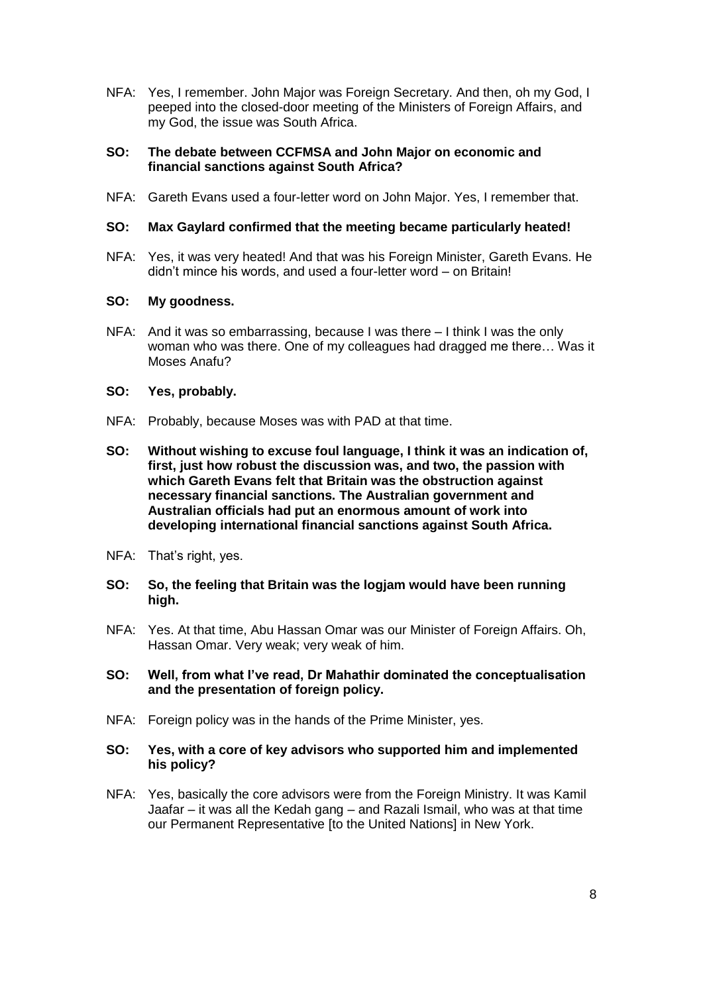NFA: Yes, I remember. John Major was Foreign Secretary. And then, oh my God, I peeped into the closed-door meeting of the Ministers of Foreign Affairs, and my God, the issue was South Africa.

### **SO: The debate between CCFMSA and John Major on economic and financial sanctions against South Africa?**

NFA: Gareth Evans used a four-letter word on John Major. Yes, I remember that.

# **SO: Max Gaylard confirmed that the meeting became particularly heated!**

NFA: Yes, it was very heated! And that was his Foreign Minister, Gareth Evans. He didn't mince his words, and used a four-letter word – on Britain!

### **SO: My goodness.**

NFA: And it was so embarrassing, because I was there – I think I was the only woman who was there. One of my colleagues had dragged me there… Was it Moses Anafu?

### **SO: Yes, probably.**

- NFA: Probably, because Moses was with PAD at that time.
- **SO: Without wishing to excuse foul language, I think it was an indication of, first, just how robust the discussion was, and two, the passion with which Gareth Evans felt that Britain was the obstruction against necessary financial sanctions. The Australian government and Australian officials had put an enormous amount of work into developing international financial sanctions against South Africa.**
- NFA: That's right, yes.
- **SO: So, the feeling that Britain was the logjam would have been running high.**
- NFA: Yes. At that time, Abu Hassan Omar was our Minister of Foreign Affairs. Oh, Hassan Omar. Very weak; very weak of him.
- **SO: Well, from what I've read, Dr Mahathir dominated the conceptualisation and the presentation of foreign policy.**
- NFA: Foreign policy was in the hands of the Prime Minister, yes.
- **SO: Yes, with a core of key advisors who supported him and implemented his policy?**
- NFA: Yes, basically the core advisors were from the Foreign Ministry. It was Kamil Jaafar – it was all the Kedah gang – and Razali Ismail, who was at that time our Permanent Representative [to the United Nations] in New York.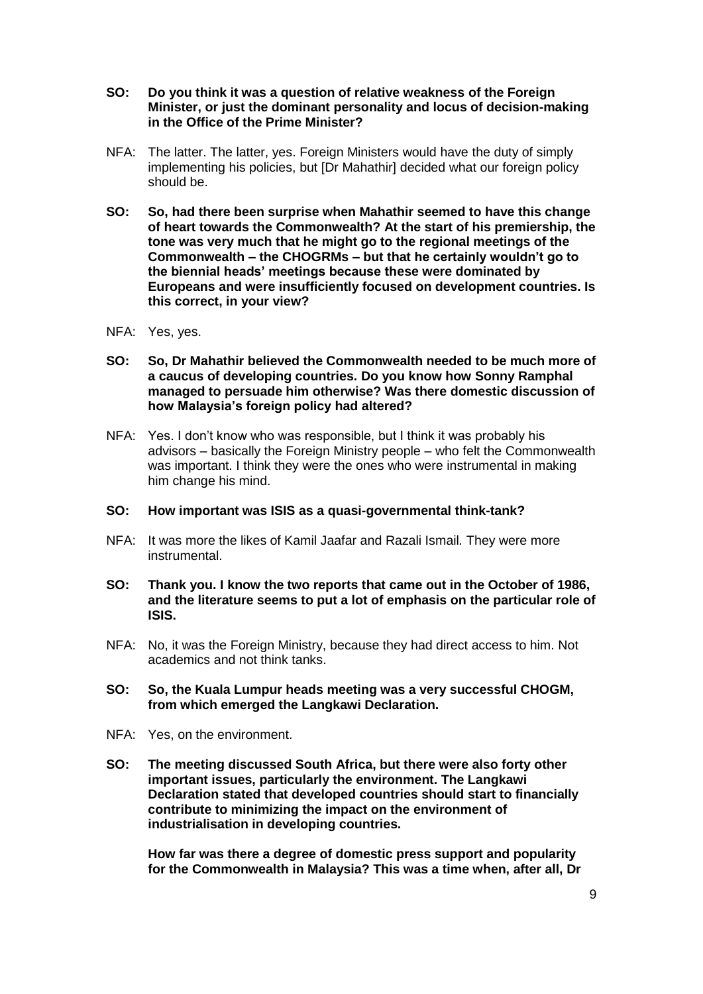- **SO: Do you think it was a question of relative weakness of the Foreign Minister, or just the dominant personality and locus of decision-making in the Office of the Prime Minister?**
- NFA: The latter. The latter, yes. Foreign Ministers would have the duty of simply implementing his policies, but [Dr Mahathir] decided what our foreign policy should be.
- **SO: So, had there been surprise when Mahathir seemed to have this change of heart towards the Commonwealth? At the start of his premiership, the tone was very much that he might go to the regional meetings of the Commonwealth – the CHOGRMs – but that he certainly wouldn't go to the biennial heads' meetings because these were dominated by Europeans and were insufficiently focused on development countries. Is this correct, in your view?**
- NFA: Yes, yes.
- **SO: So, Dr Mahathir believed the Commonwealth needed to be much more of a caucus of developing countries. Do you know how Sonny Ramphal managed to persuade him otherwise? Was there domestic discussion of how Malaysia's foreign policy had altered?**
- NFA: Yes. I don't know who was responsible, but I think it was probably his advisors – basically the Foreign Ministry people – who felt the Commonwealth was important. I think they were the ones who were instrumental in making him change his mind.

# **SO: How important was ISIS as a quasi-governmental think-tank?**

- NFA: It was more the likes of Kamil Jaafar and Razali Ismail*.* They were more instrumental.
- **SO: Thank you. I know the two reports that came out in the October of 1986, and the literature seems to put a lot of emphasis on the particular role of ISIS.**
- NFA: No, it was the Foreign Ministry, because they had direct access to him. Not academics and not think tanks.
- **SO: So, the Kuala Lumpur heads meeting was a very successful CHOGM, from which emerged the Langkawi Declaration.**
- NFA: Yes, on the environment.
- **SO: The meeting discussed South Africa, but there were also forty other important issues, particularly the environment. The Langkawi Declaration stated that developed countries should start to financially contribute to minimizing the impact on the environment of industrialisation in developing countries.**

**How far was there a degree of domestic press support and popularity for the Commonwealth in Malaysia? This was a time when, after all, Dr**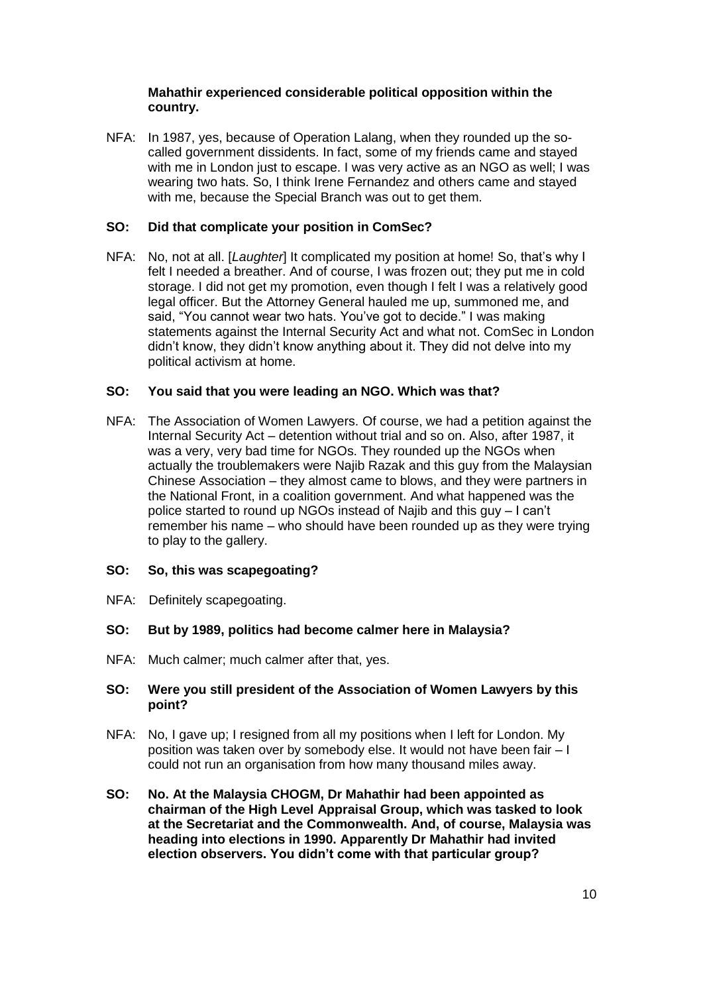# **Mahathir experienced considerable political opposition within the country.**

NFA: In 1987, yes, because of Operation Lalang, when they rounded up the socalled government dissidents. In fact, some of my friends came and stayed with me in London just to escape. I was very active as an NGO as well; I was wearing two hats. So, I think Irene Fernandez and others came and stayed with me, because the Special Branch was out to get them.

# **SO: Did that complicate your position in ComSec?**

NFA: No, not at all. [*Laughter*] It complicated my position at home! So, that's why I felt I needed a breather. And of course, I was frozen out; they put me in cold storage. I did not get my promotion, even though I felt I was a relatively good legal officer. But the Attorney General hauled me up, summoned me, and said, "You cannot wear two hats. You've got to decide." I was making statements against the Internal Security Act and what not. ComSec in London didn't know, they didn't know anything about it. They did not delve into my political activism at home.

# **SO: You said that you were leading an NGO. Which was that?**

NFA: The Association of Women Lawyers. Of course, we had a petition against the Internal Security Act – detention without trial and so on. Also, after 1987, it was a very, very bad time for NGOs. They rounded up the NGOs when actually the troublemakers were Najib Razak and this guy from the Malaysian Chinese Association – they almost came to blows, and they were partners in the National Front, in a coalition government. And what happened was the police started to round up NGOs instead of Najib and this guy – I can't remember his name – who should have been rounded up as they were trying to play to the gallery.

# **SO: So, this was scapegoating?**

NFA: Definitely scapegoating.

# **SO: But by 1989, politics had become calmer here in Malaysia?**

NFA: Much calmer; much calmer after that, yes.

### **SO: Were you still president of the Association of Women Lawyers by this point?**

- NFA: No, I gave up; I resigned from all my positions when I left for London. My position was taken over by somebody else. It would not have been fair – I could not run an organisation from how many thousand miles away.
- **SO: No. At the Malaysia CHOGM, Dr Mahathir had been appointed as chairman of the High Level Appraisal Group, which was tasked to look at the Secretariat and the Commonwealth. And, of course, Malaysia was heading into elections in 1990. Apparently Dr Mahathir had invited election observers. You didn't come with that particular group?**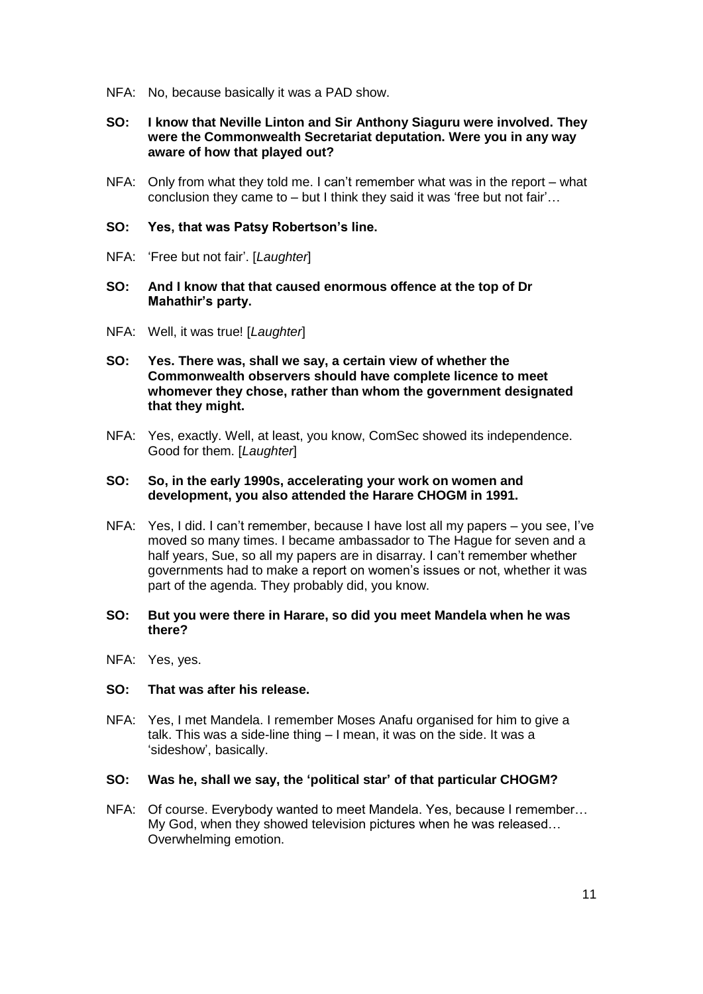- NFA: No, because basically it was a PAD show.
- **SO: I know that Neville Linton and Sir Anthony Siaguru were involved. They were the Commonwealth Secretariat deputation. Were you in any way aware of how that played out?**
- NFA: Only from what they told me. I can't remember what was in the report what conclusion they came to – but I think they said it was 'free but not fair'…

### **SO: Yes, that was Patsy Robertson's line.**

- NFA: 'Free but not fair'. [*Laughter*]
- **SO: And I know that that caused enormous offence at the top of Dr Mahathir's party.**
- NFA: Well, it was true! [*Laughter*]
- **SO: Yes. There was, shall we say, a certain view of whether the Commonwealth observers should have complete licence to meet whomever they chose, rather than whom the government designated that they might.**
- NFA: Yes, exactly. Well, at least, you know, ComSec showed its independence. Good for them. [*Laughter*]

### **SO: So, in the early 1990s, accelerating your work on women and development, you also attended the Harare CHOGM in 1991.**

NFA: Yes, I did. I can't remember, because I have lost all my papers – you see, I've moved so many times. I became ambassador to The Hague for seven and a half years, Sue, so all my papers are in disarray. I can't remember whether governments had to make a report on women's issues or not, whether it was part of the agenda. They probably did, you know.

### **SO: But you were there in Harare, so did you meet Mandela when he was there?**

NFA: Yes, yes.

#### **SO: That was after his release.**

NFA: Yes, I met Mandela. I remember Moses Anafu organised for him to give a talk. This was a side-line thing – I mean, it was on the side. It was a 'sideshow', basically.

#### **SO: Was he, shall we say, the 'political star' of that particular CHOGM?**

NFA: Of course. Everybody wanted to meet Mandela. Yes, because I remember… My God, when they showed television pictures when he was released… Overwhelming emotion.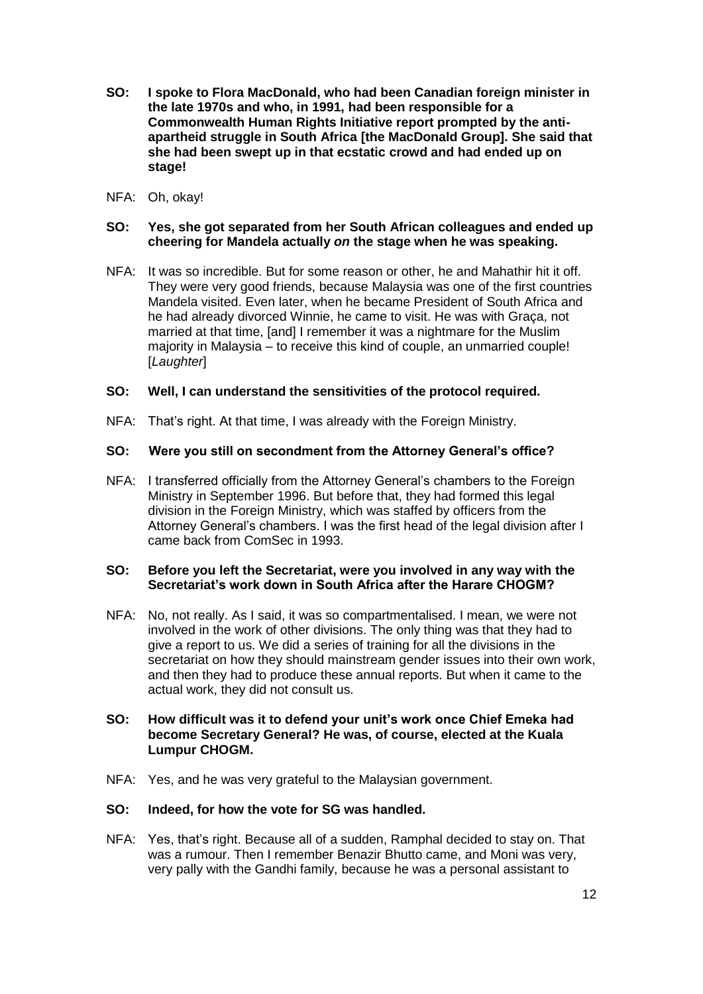- **SO: I spoke to Flora MacDonald, who had been Canadian foreign minister in the late 1970s and who, in 1991, had been responsible for a Commonwealth Human Rights Initiative report prompted by the antiapartheid struggle in South Africa [the MacDonald Group]. She said that she had been swept up in that ecstatic crowd and had ended up on stage!**
- NFA: Oh, okay!

# **SO: Yes, she got separated from her South African colleagues and ended up cheering for Mandela actually** *on* **the stage when he was speaking.**

NFA: It was so incredible. But for some reason or other, he and Mahathir hit it off. They were very good friends, because Malaysia was one of the first countries Mandela visited. Even later, when he became President of South Africa and he had already divorced Winnie, he came to visit. He was with Graça, not married at that time, [and] I remember it was a nightmare for the Muslim majority in Malaysia – to receive this kind of couple, an unmarried couple! [*Laughter*]

### **SO: Well, I can understand the sensitivities of the protocol required.**

NFA: That's right. At that time, I was already with the Foreign Ministry.

### **SO: Were you still on secondment from the Attorney General's office?**

NFA: I transferred officially from the Attorney General's chambers to the Foreign Ministry in September 1996. But before that, they had formed this legal division in the Foreign Ministry, which was staffed by officers from the Attorney General's chambers. I was the first head of the legal division after I came back from ComSec in 1993.

#### **SO: Before you left the Secretariat, were you involved in any way with the Secretariat's work down in South Africa after the Harare CHOGM?**

NFA: No, not really. As I said, it was so compartmentalised. I mean, we were not involved in the work of other divisions. The only thing was that they had to give a report to us. We did a series of training for all the divisions in the secretariat on how they should mainstream gender issues into their own work, and then they had to produce these annual reports. But when it came to the actual work, they did not consult us.

### **SO: How difficult was it to defend your unit's work once Chief Emeka had become Secretary General? He was, of course, elected at the Kuala Lumpur CHOGM.**

NFA: Yes, and he was very grateful to the Malaysian government.

#### **SO: Indeed, for how the vote for SG was handled.**

NFA: Yes, that's right. Because all of a sudden, Ramphal decided to stay on. That was a rumour. Then I remember Benazir Bhutto came, and Moni was very, very pally with the Gandhi family, because he was a personal assistant to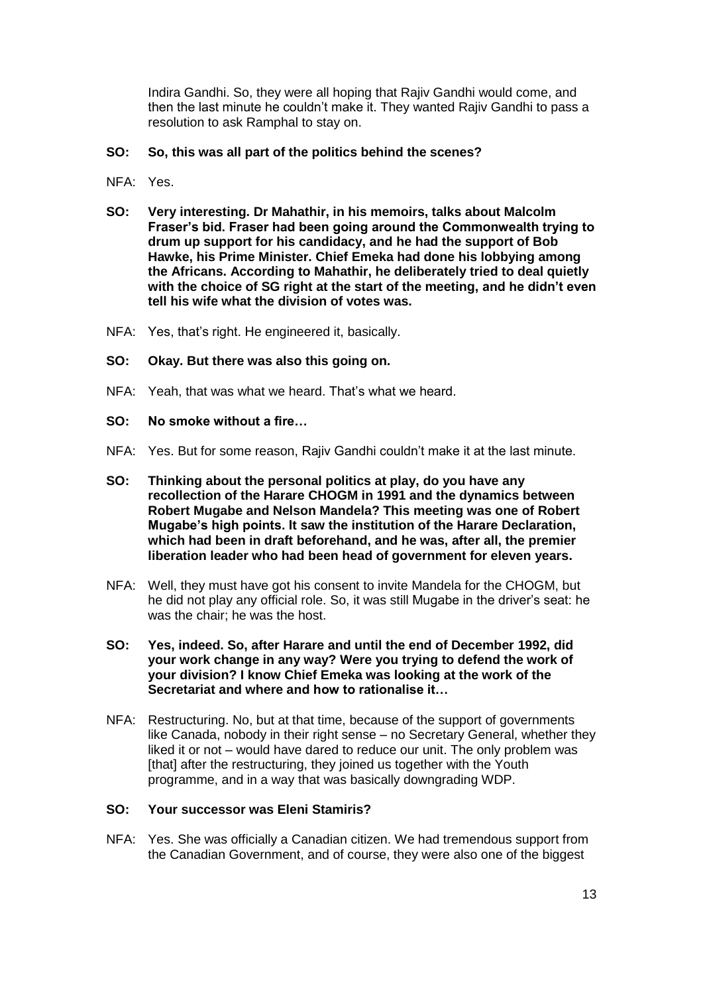Indira Gandhi. So, they were all hoping that Rajiv Gandhi would come, and then the last minute he couldn't make it. They wanted Rajiv Gandhi to pass a resolution to ask Ramphal to stay on.

### **SO: So, this was all part of the politics behind the scenes?**

- NFA: Yes.
- **SO: Very interesting. Dr Mahathir, in his memoirs, talks about Malcolm Fraser's bid. Fraser had been going around the Commonwealth trying to drum up support for his candidacy, and he had the support of Bob Hawke, his Prime Minister. Chief Emeka had done his lobbying among the Africans. According to Mahathir, he deliberately tried to deal quietly with the choice of SG right at the start of the meeting, and he didn't even tell his wife what the division of votes was.**
- NFA: Yes, that's right. He engineered it, basically.
- **SO: Okay. But there was also this going on.**
- NFA: Yeah, that was what we heard. That's what we heard.
- **SO: No smoke without a fire…**
- NFA: Yes. But for some reason, Rajiv Gandhi couldn't make it at the last minute.
- **SO: Thinking about the personal politics at play, do you have any recollection of the Harare CHOGM in 1991 and the dynamics between Robert Mugabe and Nelson Mandela? This meeting was one of Robert Mugabe's high points. It saw the institution of the Harare Declaration, which had been in draft beforehand, and he was, after all, the premier liberation leader who had been head of government for eleven years.**
- NFA: Well, they must have got his consent to invite Mandela for the CHOGM, but he did not play any official role. So, it was still Mugabe in the driver's seat: he was the chair; he was the host.
- **SO: Yes, indeed. So, after Harare and until the end of December 1992, did your work change in any way? Were you trying to defend the work of your division? I know Chief Emeka was looking at the work of the Secretariat and where and how to rationalise it…**
- NFA: Restructuring. No, but at that time, because of the support of governments like Canada, nobody in their right sense – no Secretary General, whether they liked it or not – would have dared to reduce our unit. The only problem was [that] after the restructuring, they joined us together with the Youth programme, and in a way that was basically downgrading WDP.

### **SO: Your successor was Eleni Stamiris?**

NFA: Yes. She was officially a Canadian citizen. We had tremendous support from the Canadian Government, and of course, they were also one of the biggest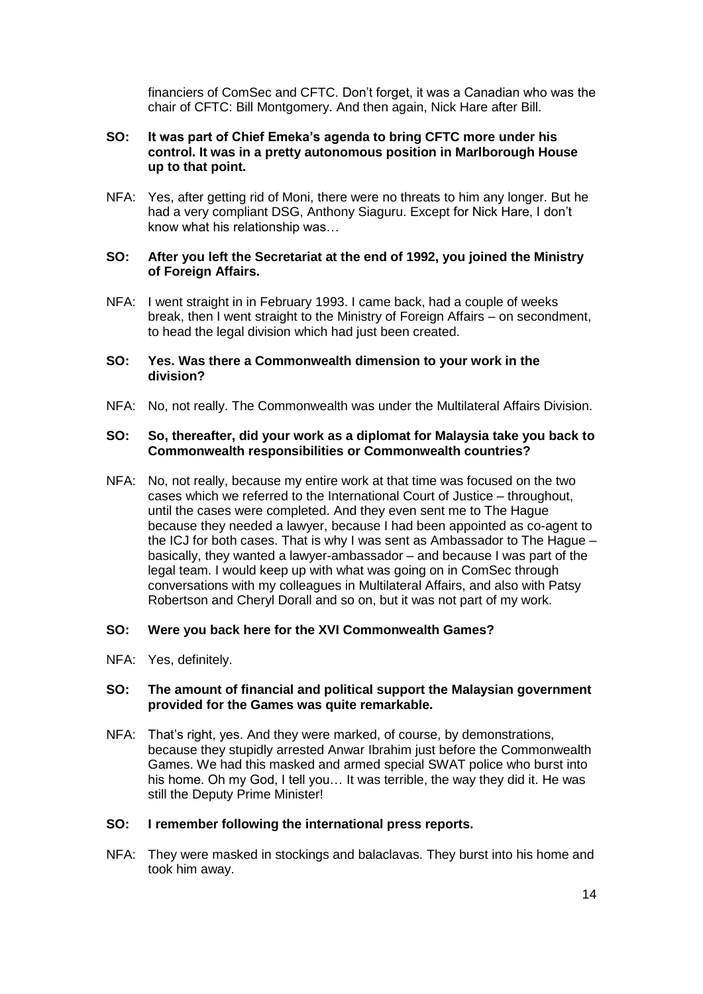financiers of ComSec and CFTC. Don't forget, it was a Canadian who was the chair of CFTC: Bill Montgomery. And then again, Nick Hare after Bill.

### **SO: It was part of Chief Emeka's agenda to bring CFTC more under his control. It was in a pretty autonomous position in Marlborough House up to that point.**

NFA: Yes, after getting rid of Moni, there were no threats to him any longer. But he had a very compliant DSG, Anthony Siaguru. Except for Nick Hare, I don't know what his relationship was…

### **SO: After you left the Secretariat at the end of 1992, you joined the Ministry of Foreign Affairs.**

NFA: I went straight in in February 1993. I came back, had a couple of weeks break, then I went straight to the Ministry of Foreign Affairs – on secondment, to head the legal division which had just been created.

### **SO: Yes. Was there a Commonwealth dimension to your work in the division?**

NFA: No, not really. The Commonwealth was under the Multilateral Affairs Division.

### **SO: So, thereafter, did your work as a diplomat for Malaysia take you back to Commonwealth responsibilities or Commonwealth countries?**

NFA: No, not really, because my entire work at that time was focused on the two cases which we referred to the International Court of Justice – throughout, until the cases were completed. And they even sent me to The Hague because they needed a lawyer, because I had been appointed as co-agent to the ICJ for both cases. That is why I was sent as Ambassador to The Hague – basically, they wanted a lawyer-ambassador – and because I was part of the legal team. I would keep up with what was going on in ComSec through conversations with my colleagues in Multilateral Affairs, and also with Patsy Robertson and Cheryl Dorall and so on, but it was not part of my work.

#### **SO: Were you back here for the XVI Commonwealth Games?**

NFA: Yes, definitely.

### **SO: The amount of financial and political support the Malaysian government provided for the Games was quite remarkable.**

NFA: That's right, yes. And they were marked, of course, by demonstrations, because they stupidly arrested Anwar Ibrahim just before the Commonwealth Games. We had this masked and armed special SWAT police who burst into his home. Oh my God, I tell you… It was terrible, the way they did it. He was still the Deputy Prime Minister!

#### **SO: I remember following the international press reports.**

NFA: They were masked in stockings and balaclavas. They burst into his home and took him away.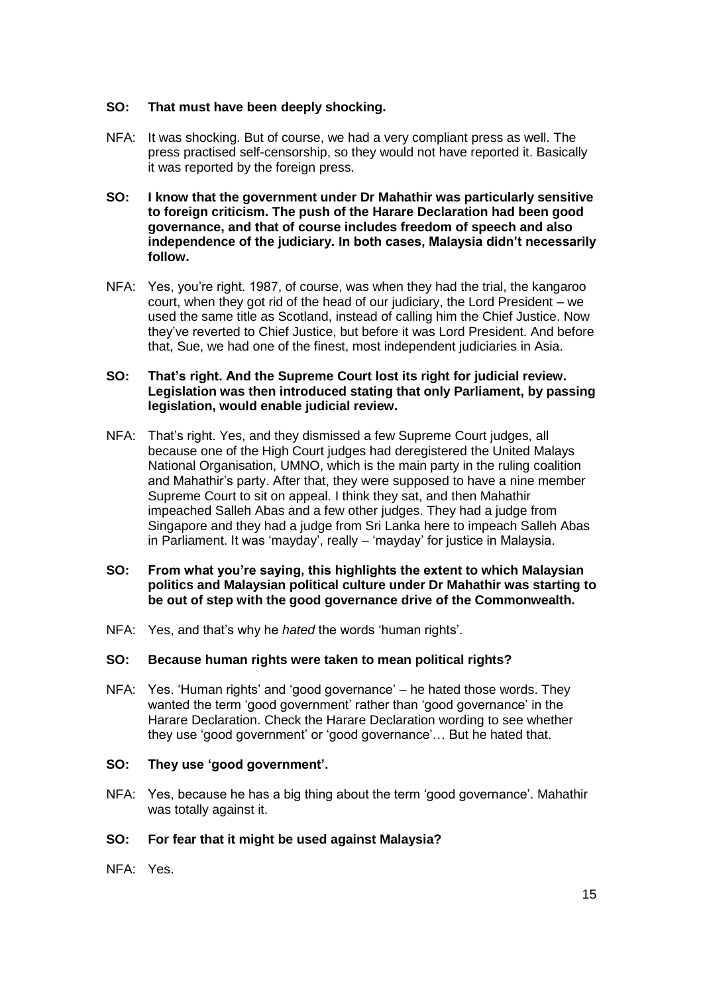# **SO: That must have been deeply shocking.**

- NFA: It was shocking. But of course, we had a very compliant press as well. The press practised self-censorship, so they would not have reported it. Basically it was reported by the foreign press.
- **SO: I know that the government under Dr Mahathir was particularly sensitive to foreign criticism. The push of the Harare Declaration had been good governance, and that of course includes freedom of speech and also independence of the judiciary. In both cases, Malaysia didn't necessarily follow.**
- NFA: Yes, you're right. 1987, of course, was when they had the trial, the kangaroo court, when they got rid of the head of our judiciary, the Lord President – we used the same title as Scotland, instead of calling him the Chief Justice. Now they've reverted to Chief Justice, but before it was Lord President. And before that, Sue, we had one of the finest, most independent judiciaries in Asia.

# **SO: That's right. And the Supreme Court lost its right for judicial review. Legislation was then introduced stating that only Parliament, by passing legislation, would enable judicial review.**

- NFA: That's right. Yes, and they dismissed a few Supreme Court judges, all because one of the High Court judges had deregistered the United Malays National Organisation, UMNO, which is the main party in the ruling coalition and Mahathir's party. After that, they were supposed to have a nine member Supreme Court to sit on appeal. I think they sat, and then Mahathir impeached Salleh Abas and a few other judges. They had a judge from Singapore and they had a judge from Sri Lanka here to impeach Salleh Abas in Parliament. It was 'mayday', really – 'mayday' for justice in Malaysia.
- **SO: From what you're saying, this highlights the extent to which Malaysian politics and Malaysian political culture under Dr Mahathir was starting to be out of step with the good governance drive of the Commonwealth.**
- NFA: Yes, and that's why he *hated* the words 'human rights'.

### **SO: Because human rights were taken to mean political rights?**

NFA: Yes. 'Human rights' and 'good governance' – he hated those words. They wanted the term 'good government' rather than 'good governance' in the Harare Declaration. Check the Harare Declaration wording to see whether they use 'good government' or 'good governance'… But he hated that.

#### **SO: They use 'good government'.**

NFA: Yes, because he has a big thing about the term 'good governance'. Mahathir was totally against it.

# **SO: For fear that it might be used against Malaysia?**

NFA: Yes.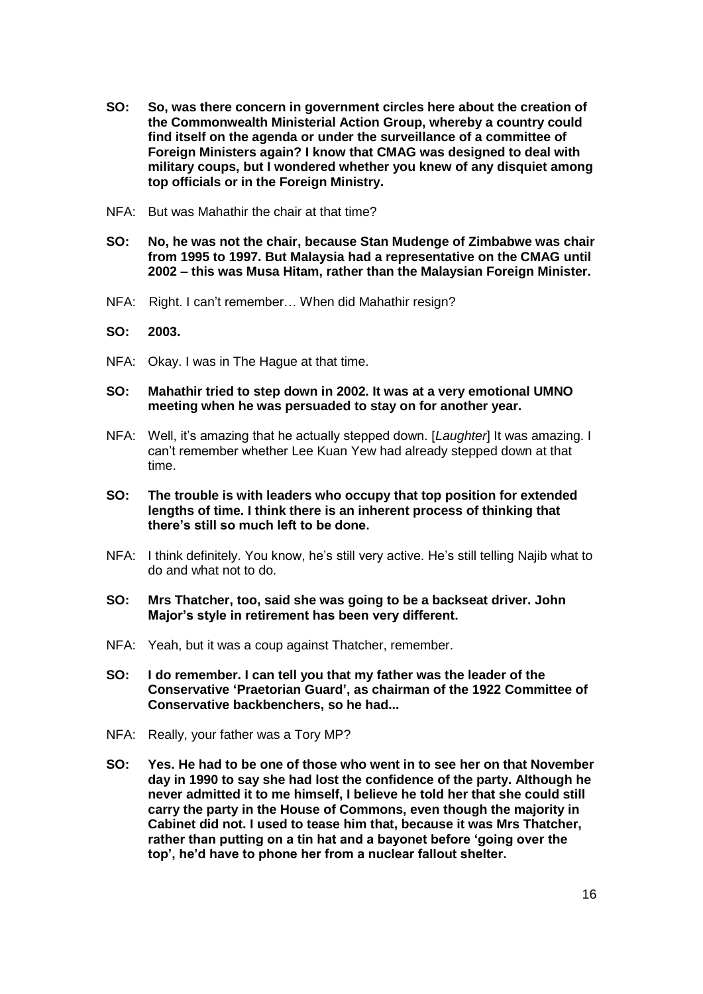- **SO: So, was there concern in government circles here about the creation of the Commonwealth Ministerial Action Group, whereby a country could find itself on the agenda or under the surveillance of a committee of Foreign Ministers again? I know that CMAG was designed to deal with military coups, but I wondered whether you knew of any disquiet among top officials or in the Foreign Ministry.**
- NFA: But was Mahathir the chair at that time?
- **SO: No, he was not the chair, because Stan Mudenge of Zimbabwe was chair from 1995 to 1997. But Malaysia had a representative on the CMAG until 2002 – this was Musa Hitam, rather than the Malaysian Foreign Minister.**
- NFA: Right. I can't remember… When did Mahathir resign?
- **SO: 2003.**
- NFA: Okay. I was in The Hague at that time.
- **SO: Mahathir tried to step down in 2002. It was at a very emotional UMNO meeting when he was persuaded to stay on for another year.**
- NFA: Well, it's amazing that he actually stepped down. [*Laughter*] It was amazing. I can't remember whether Lee Kuan Yew had already stepped down at that time.
- **SO: The trouble is with leaders who occupy that top position for extended lengths of time. I think there is an inherent process of thinking that there's still so much left to be done.**
- NFA: I think definitely. You know, he's still very active. He's still telling Najib what to do and what not to do.
- **SO: Mrs Thatcher, too, said she was going to be a backseat driver. John Major's style in retirement has been very different.**
- NFA: Yeah, but it was a coup against Thatcher, remember.
- **SO: I do remember. I can tell you that my father was the leader of the Conservative 'Praetorian Guard', as chairman of the 1922 Committee of Conservative backbenchers, so he had...**
- NFA: Really, your father was a Tory MP?
- **SO: Yes. He had to be one of those who went in to see her on that November day in 1990 to say she had lost the confidence of the party. Although he never admitted it to me himself, I believe he told her that she could still carry the party in the House of Commons, even though the majority in Cabinet did not. I used to tease him that, because it was Mrs Thatcher, rather than putting on a tin hat and a bayonet before 'going over the top', he'd have to phone her from a nuclear fallout shelter.**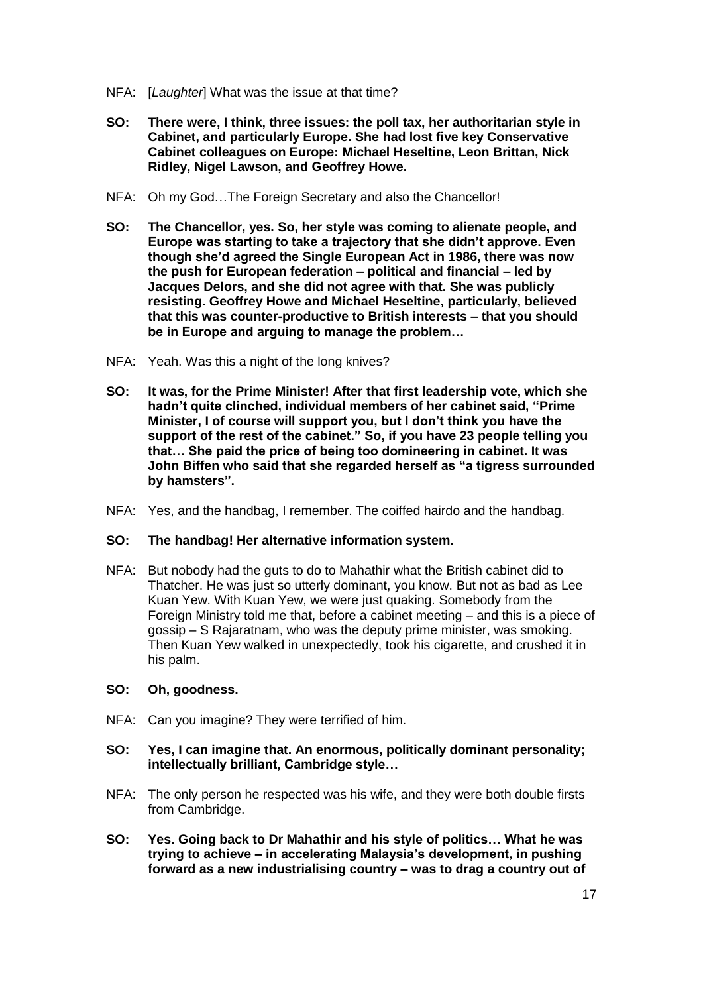- NFA: [*Laughter*] What was the issue at that time?
- **SO: There were, I think, three issues: the poll tax, her authoritarian style in Cabinet, and particularly Europe. She had lost five key Conservative Cabinet colleagues on Europe: Michael Heseltine, Leon Brittan, Nick Ridley, Nigel Lawson, and Geoffrey Howe.**
- NFA: Oh my God…The Foreign Secretary and also the Chancellor!
- **SO: The Chancellor, yes. So, her style was coming to alienate people, and Europe was starting to take a trajectory that she didn't approve. Even though she'd agreed the Single European Act in 1986, there was now the push for European federation – political and financial – led by Jacques Delors, and she did not agree with that. She was publicly resisting. Geoffrey Howe and Michael Heseltine, particularly, believed that this was counter-productive to British interests – that you should be in Europe and arguing to manage the problem…**
- NFA: Yeah. Was this a night of the long knives?
- **SO: It was, for the Prime Minister! After that first leadership vote, which she hadn't quite clinched, individual members of her cabinet said, "Prime Minister, I of course will support you, but I don't think you have the support of the rest of the cabinet." So, if you have 23 people telling you that… She paid the price of being too domineering in cabinet. It was John Biffen who said that she regarded herself as "a tigress surrounded by hamsters".**
- NFA: Yes, and the handbag, I remember. The coiffed hairdo and the handbag.

# **SO: The handbag! Her alternative information system.**

NFA: But nobody had the guts to do to Mahathir what the British cabinet did to Thatcher. He was just so utterly dominant, you know. But not as bad as Lee Kuan Yew. With Kuan Yew, we were just quaking. Somebody from the Foreign Ministry told me that, before a cabinet meeting – and this is a piece of gossip – S Rajaratnam, who was the deputy prime minister, was smoking. Then Kuan Yew walked in unexpectedly, took his cigarette, and crushed it in his palm.

#### **SO: Oh, goodness.**

NFA: Can you imagine? They were terrified of him.

### **SO: Yes, I can imagine that. An enormous, politically dominant personality; intellectually brilliant, Cambridge style…**

- NFA: The only person he respected was his wife, and they were both double firsts from Cambridge.
- **SO: Yes. Going back to Dr Mahathir and his style of politics… What he was trying to achieve – in accelerating Malaysia's development, in pushing forward as a new industrialising country – was to drag a country out of**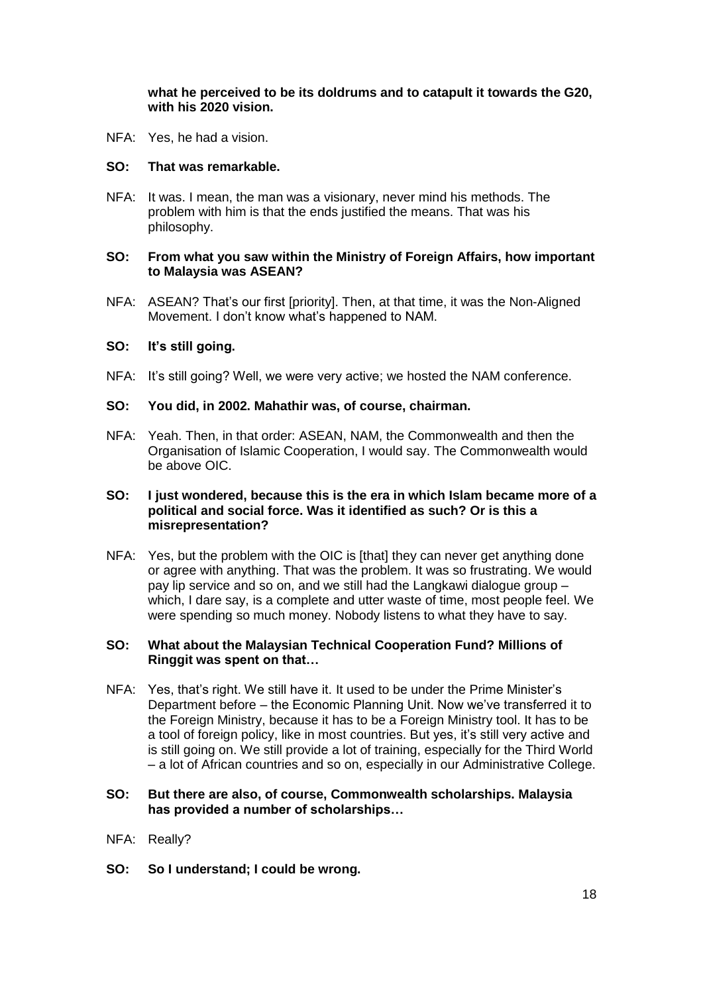# **what he perceived to be its doldrums and to catapult it towards the G20, with his 2020 vision.**

NFA: Yes, he had a vision.

### **SO: That was remarkable.**

NFA: It was. I mean, the man was a visionary, never mind his methods. The problem with him is that the ends justified the means. That was his philosophy.

### **SO: From what you saw within the Ministry of Foreign Affairs, how important to Malaysia was ASEAN?**

NFA: ASEAN? That's our first [priority]. Then, at that time, it was the Non-Aligned Movement. I don't know what's happened to NAM.

### **SO: It's still going.**

NFA: It's still going? Well, we were very active; we hosted the NAM conference.

#### **SO: You did, in 2002. Mahathir was, of course, chairman.**

NFA: Yeah. Then, in that order: ASEAN, NAM, the Commonwealth and then the Organisation of Islamic Cooperation, I would say. The Commonwealth would be above OIC.

### **SO: I just wondered, because this is the era in which Islam became more of a political and social force. Was it identified as such? Or is this a misrepresentation?**

NFA: Yes, but the problem with the OIC is [that] they can never get anything done or agree with anything. That was the problem. It was so frustrating. We would pay lip service and so on, and we still had the Langkawi dialogue group – which, I dare say, is a complete and utter waste of time, most people feel. We were spending so much money. Nobody listens to what they have to say.

### **SO: What about the Malaysian Technical Cooperation Fund? Millions of Ringgit was spent on that…**

NFA: Yes, that's right. We still have it. It used to be under the Prime Minister's Department before – the Economic Planning Unit. Now we've transferred it to the Foreign Ministry, because it has to be a Foreign Ministry tool. It has to be a tool of foreign policy, like in most countries. But yes, it's still very active and is still going on. We still provide a lot of training, especially for the Third World – a lot of African countries and so on, especially in our Administrative College.

### **SO: But there are also, of course, Commonwealth scholarships. Malaysia has provided a number of scholarships…**

#### NFA: Really?

**SO: So I understand; I could be wrong.**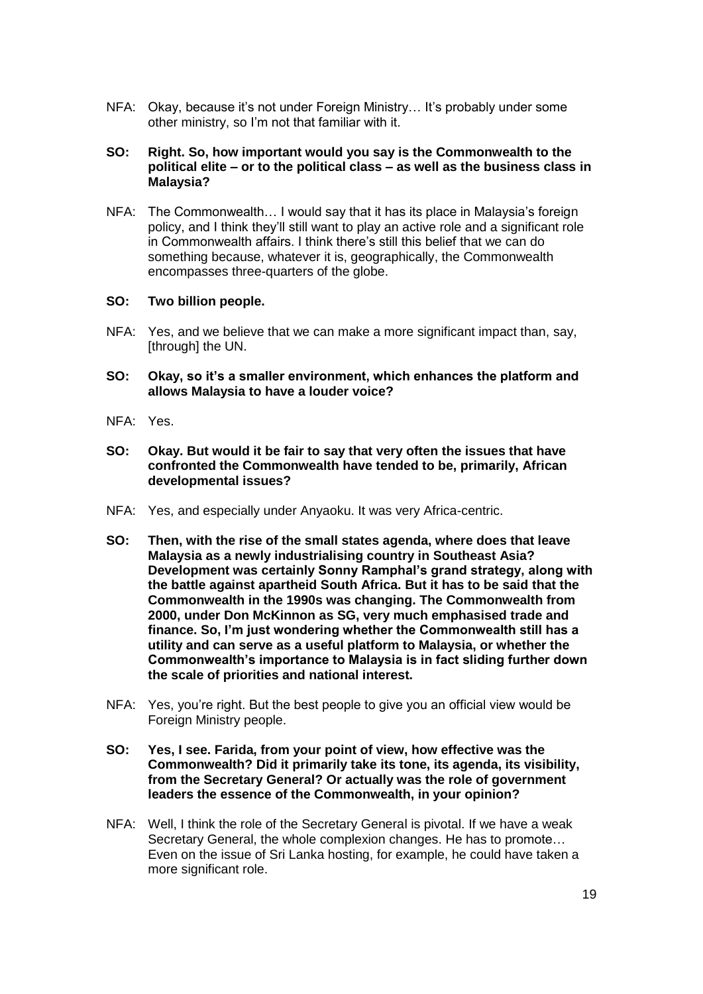NFA: Okay, because it's not under Foreign Ministry… It's probably under some other ministry, so I'm not that familiar with it.

### **SO: Right. So, how important would you say is the Commonwealth to the political elite – or to the political class – as well as the business class in Malaysia?**

NFA: The Commonwealth… I would say that it has its place in Malaysia's foreign policy, and I think they'll still want to play an active role and a significant role in Commonwealth affairs. I think there's still this belief that we can do something because, whatever it is, geographically, the Commonwealth encompasses three-quarters of the globe.

### **SO: Two billion people.**

- NFA: Yes, and we believe that we can make a more significant impact than, say, [through] the UN.
- **SO: Okay, so it's a smaller environment, which enhances the platform and allows Malaysia to have a louder voice?**
- NFA: Yes.
- **SO: Okay. But would it be fair to say that very often the issues that have confronted the Commonwealth have tended to be, primarily, African developmental issues?**
- NFA: Yes, and especially under Anyaoku. It was very Africa-centric.
- **SO: Then, with the rise of the small states agenda, where does that leave Malaysia as a newly industrialising country in Southeast Asia? Development was certainly Sonny Ramphal's grand strategy, along with the battle against apartheid South Africa. But it has to be said that the Commonwealth in the 1990s was changing. The Commonwealth from 2000, under Don McKinnon as SG, very much emphasised trade and finance. So, I'm just wondering whether the Commonwealth still has a utility and can serve as a useful platform to Malaysia, or whether the Commonwealth's importance to Malaysia is in fact sliding further down the scale of priorities and national interest.**
- NFA: Yes, you're right. But the best people to give you an official view would be Foreign Ministry people.
- **SO: Yes, I see. Farida, from your point of view, how effective was the Commonwealth? Did it primarily take its tone, its agenda, its visibility, from the Secretary General? Or actually was the role of government leaders the essence of the Commonwealth, in your opinion?**
- NFA: Well, I think the role of the Secretary General is pivotal. If we have a weak Secretary General, the whole complexion changes. He has to promote… Even on the issue of Sri Lanka hosting, for example, he could have taken a more significant role.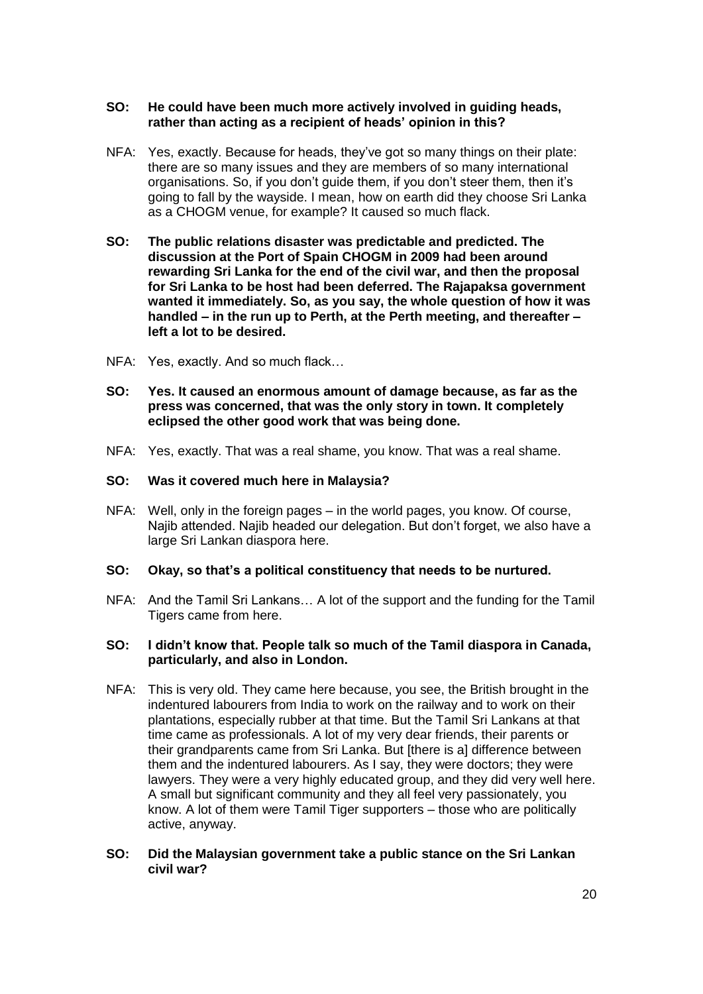### **SO: He could have been much more actively involved in guiding heads, rather than acting as a recipient of heads' opinion in this?**

- NFA: Yes, exactly. Because for heads, they've got so many things on their plate: there are so many issues and they are members of so many international organisations. So, if you don't guide them, if you don't steer them, then it's going to fall by the wayside. I mean, how on earth did they choose Sri Lanka as a CHOGM venue, for example? It caused so much flack.
- **SO: The public relations disaster was predictable and predicted. The discussion at the Port of Spain CHOGM in 2009 had been around rewarding Sri Lanka for the end of the civil war, and then the proposal for Sri Lanka to be host had been deferred. The Rajapaksa government wanted it immediately. So, as you say, the whole question of how it was handled – in the run up to Perth, at the Perth meeting, and thereafter – left a lot to be desired.**
- NFA: Yes, exactly. And so much flack…
- **SO: Yes. It caused an enormous amount of damage because, as far as the press was concerned, that was the only story in town. It completely eclipsed the other good work that was being done.**
- NFA: Yes, exactly. That was a real shame, you know. That was a real shame.

#### **SO: Was it covered much here in Malaysia?**

NFA: Well, only in the foreign pages – in the world pages, you know. Of course, Najib attended. Najib headed our delegation. But don't forget, we also have a large Sri Lankan diaspora here.

#### **SO: Okay, so that's a political constituency that needs to be nurtured.**

NFA: And the Tamil Sri Lankans… A lot of the support and the funding for the Tamil Tigers came from here.

### **SO: I didn't know that. People talk so much of the Tamil diaspora in Canada, particularly, and also in London.**

- NFA: This is very old. They came here because, you see, the British brought in the indentured labourers from India to work on the railway and to work on their plantations, especially rubber at that time. But the Tamil Sri Lankans at that time came as professionals. A lot of my very dear friends, their parents or their grandparents came from Sri Lanka. But [there is a] difference between them and the indentured labourers. As I say, they were doctors; they were lawyers. They were a very highly educated group, and they did very well here. A small but significant community and they all feel very passionately, you know. A lot of them were Tamil Tiger supporters – those who are politically active, anyway.
- **SO: Did the Malaysian government take a public stance on the Sri Lankan civil war?**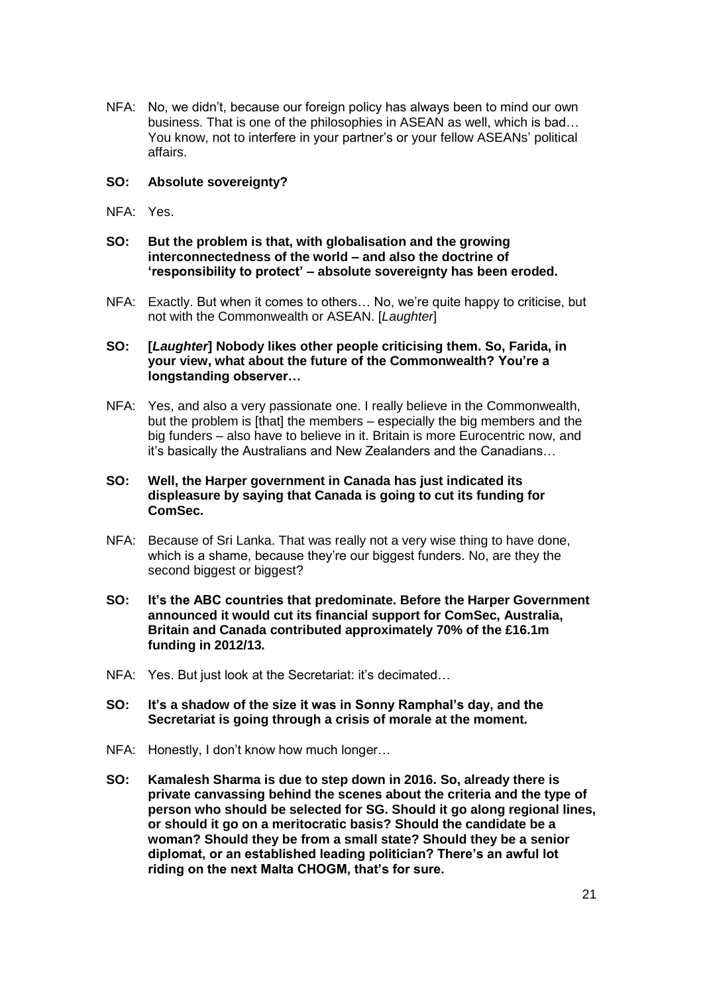NFA: No, we didn't, because our foreign policy has always been to mind our own business. That is one of the philosophies in ASEAN as well, which is bad… You know, not to interfere in your partner's or your fellow ASEANs' political affairs.

### **SO: Absolute sovereignty?**

- NFA: Yes.
- **SO: But the problem is that, with globalisation and the growing interconnectedness of the world – and also the doctrine of 'responsibility to protect' – absolute sovereignty has been eroded.**
- NFA: Exactly. But when it comes to others… No, we're quite happy to criticise, but not with the Commonwealth or ASEAN. [*Laughter*]

# **SO: [***Laughter***] Nobody likes other people criticising them. So, Farida, in your view, what about the future of the Commonwealth? You're a longstanding observer…**

NFA: Yes, and also a very passionate one. I really believe in the Commonwealth, but the problem is [that] the members – especially the big members and the big funders – also have to believe in it. Britain is more Eurocentric now, and it's basically the Australians and New Zealanders and the Canadians…

### **SO: Well, the Harper government in Canada has just indicated its displeasure by saying that Canada is going to cut its funding for ComSec.**

- NFA: Because of Sri Lanka. That was really not a very wise thing to have done, which is a shame, because they're our biggest funders. No, are they the second biggest or biggest?
- **SO: It's the ABC countries that predominate. Before the Harper Government announced it would cut its financial support for ComSec, Australia, Britain and Canada contributed approximately 70% of the £16.1m funding in 2012/13.**
- NFA: Yes. But just look at the Secretariat: it's decimated…
- **SO: It's a shadow of the size it was in Sonny Ramphal's day, and the Secretariat is going through a crisis of morale at the moment.**
- NFA: Honestly, I don't know how much longer…
- **SO: Kamalesh Sharma is due to step down in 2016. So, already there is private canvassing behind the scenes about the criteria and the type of person who should be selected for SG. Should it go along regional lines, or should it go on a meritocratic basis? Should the candidate be a woman? Should they be from a small state? Should they be a senior diplomat, or an established leading politician? There's an awful lot riding on the next Malta CHOGM, that's for sure.**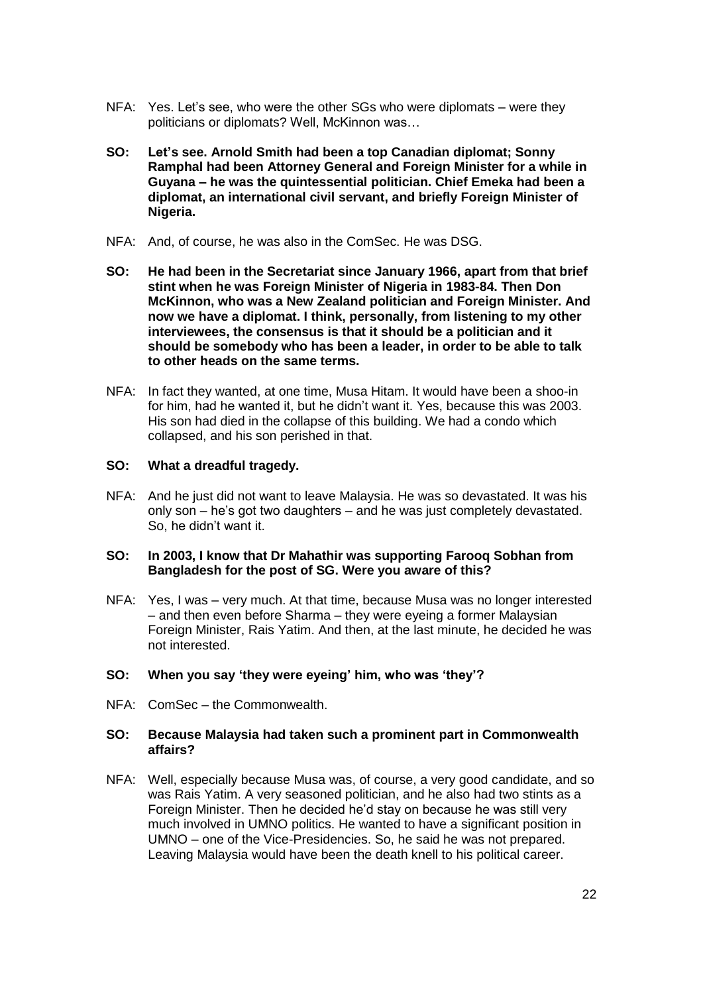- NFA: Yes. Let's see, who were the other SGs who were diplomats were they politicians or diplomats? Well, McKinnon was…
- **SO: Let's see. Arnold Smith had been a top Canadian diplomat; Sonny Ramphal had been Attorney General and Foreign Minister for a while in Guyana – he was the quintessential politician. Chief Emeka had been a diplomat, an international civil servant, and briefly Foreign Minister of Nigeria.**
- NFA: And, of course, he was also in the ComSec. He was DSG.
- **SO: He had been in the Secretariat since January 1966, apart from that brief stint when he was Foreign Minister of Nigeria in 1983-84. Then Don McKinnon, who was a New Zealand politician and Foreign Minister. And now we have a diplomat. I think, personally, from listening to my other interviewees, the consensus is that it should be a politician and it should be somebody who has been a leader, in order to be able to talk to other heads on the same terms.**
- NFA: In fact they wanted, at one time, Musa Hitam. It would have been a shoo-in for him, had he wanted it, but he didn't want it. Yes, because this was 2003. His son had died in the collapse of this building. We had a condo which collapsed, and his son perished in that.

### **SO: What a dreadful tragedy.**

NFA: And he just did not want to leave Malaysia. He was so devastated. It was his only son – he's got two daughters – and he was just completely devastated. So, he didn't want it.

#### **SO: In 2003, I know that Dr Mahathir was supporting Farooq Sobhan from Bangladesh for the post of SG. Were you aware of this?**

NFA: Yes, I was – very much. At that time, because Musa was no longer interested – and then even before Sharma – they were eyeing a former Malaysian Foreign Minister, Rais Yatim. And then, at the last minute, he decided he was not interested.

#### **SO: When you say 'they were eyeing' him, who was 'they'?**

NFA: ComSec – the Commonwealth.

### **SO: Because Malaysia had taken such a prominent part in Commonwealth affairs?**

NFA: Well, especially because Musa was, of course, a very good candidate, and so was Rais Yatim. A very seasoned politician, and he also had two stints as a Foreign Minister. Then he decided he'd stay on because he was still very much involved in UMNO politics. He wanted to have a significant position in UMNO – one of the Vice-Presidencies. So, he said he was not prepared. Leaving Malaysia would have been the death knell to his political career.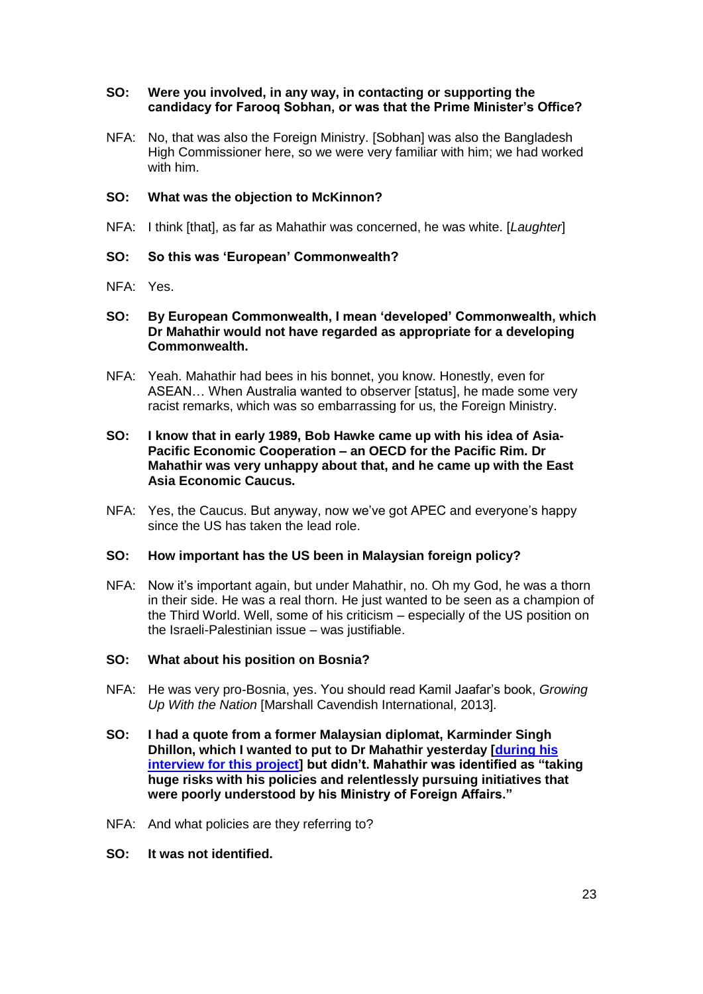### **SO: Were you involved, in any way, in contacting or supporting the candidacy for Farooq Sobhan, or was that the Prime Minister's Office?**

NFA: No, that was also the Foreign Ministry. [Sobhan] was also the Bangladesh High Commissioner here, so we were very familiar with him; we had worked with him.

# **SO: What was the objection to McKinnon?**

NFA: I think [that], as far as Mahathir was concerned, he was white. [*Laughter*]

### **SO: So this was 'European' Commonwealth?**

NFA: Yes.

### **SO: By European Commonwealth, I mean 'developed' Commonwealth, which Dr Mahathir would not have regarded as appropriate for a developing Commonwealth.**

NFA: Yeah. Mahathir had bees in his bonnet, you know. Honestly, even for ASEAN… When Australia wanted to observer [status], he made some very racist remarks, which was so embarrassing for us, the Foreign Ministry.

### **SO: I know that in early 1989, Bob Hawke came up with his idea of Asia-Pacific Economic Cooperation – an OECD for the Pacific Rim. Dr Mahathir was very unhappy about that, and he came up with the East Asia Economic Caucus.**

NFA: Yes, the Caucus. But anyway, now we've got APEC and everyone's happy since the US has taken the lead role.

#### **SO: How important has the US been in Malaysian foreign policy?**

NFA: Now it's important again, but under Mahathir, no. Oh my God, he was a thorn in their side. He was a real thorn. He just wanted to be seen as a champion of the Third World. Well, some of his criticism – especially of the US position on the Israeli-Palestinian issue – was justifiable.

# **SO: What about his position on Bosnia?**

- NFA: He was very pro-Bosnia, yes. You should read Kamil Jaafar's book, *Growing Up With the Nation* [Marshall Cavendish International, 2013].
- **SO: I had a quote from a former Malaysian diplomat, Karminder Singh Dhillon, which I wanted to put to Dr Mahathir yesterday [\[during his](http://www.commonwealthoralhistories.org/2015/interview-with-mahathir-bin-mohamad/)  [interview for this project\]](http://www.commonwealthoralhistories.org/2015/interview-with-mahathir-bin-mohamad/) but didn't. Mahathir was identified as "taking huge risks with his policies and relentlessly pursuing initiatives that were poorly understood by his Ministry of Foreign Affairs."**
- NFA: And what policies are they referring to?
- **SO: It was not identified.**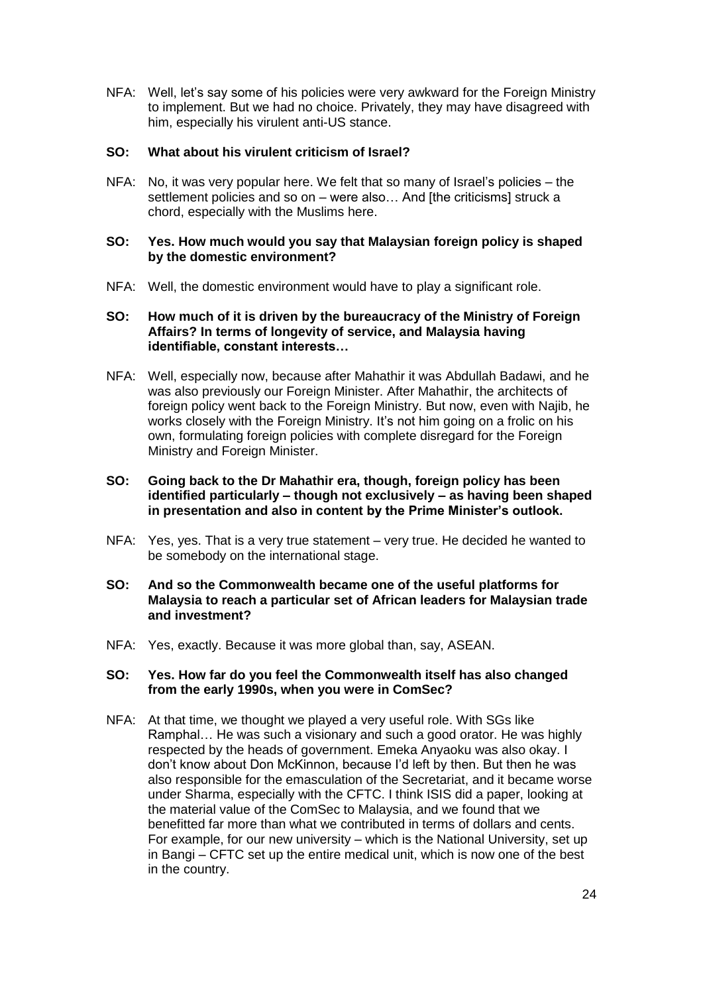NFA: Well, let's say some of his policies were very awkward for the Foreign Ministry to implement. But we had no choice. Privately, they may have disagreed with him, especially his virulent anti-US stance.

# **SO: What about his virulent criticism of Israel?**

NFA: No, it was very popular here. We felt that so many of Israel's policies – the settlement policies and so on – were also… And [the criticisms] struck a chord, especially with the Muslims here.

# **SO: Yes. How much would you say that Malaysian foreign policy is shaped by the domestic environment?**

NFA: Well, the domestic environment would have to play a significant role.

### **SO: How much of it is driven by the bureaucracy of the Ministry of Foreign Affairs? In terms of longevity of service, and Malaysia having identifiable, constant interests…**

NFA: Well, especially now, because after Mahathir it was Abdullah Badawi, and he was also previously our Foreign Minister. After Mahathir, the architects of foreign policy went back to the Foreign Ministry. But now, even with Najib, he works closely with the Foreign Ministry. It's not him going on a frolic on his own, formulating foreign policies with complete disregard for the Foreign Ministry and Foreign Minister.

# **SO: Going back to the Dr Mahathir era, though, foreign policy has been identified particularly – though not exclusively – as having been shaped in presentation and also in content by the Prime Minister's outlook.**

- NFA: Yes, yes. That is a very true statement very true. He decided he wanted to be somebody on the international stage.
- **SO: And so the Commonwealth became one of the useful platforms for Malaysia to reach a particular set of African leaders for Malaysian trade and investment?**
- NFA: Yes, exactly. Because it was more global than, say, ASEAN.

#### **SO: Yes. How far do you feel the Commonwealth itself has also changed from the early 1990s, when you were in ComSec?**

NFA: At that time, we thought we played a very useful role. With SGs like Ramphal… He was such a visionary and such a good orator. He was highly respected by the heads of government. Emeka Anyaoku was also okay. I don't know about Don McKinnon, because I'd left by then. But then he was also responsible for the emasculation of the Secretariat, and it became worse under Sharma, especially with the CFTC. I think ISIS did a paper, looking at the material value of the ComSec to Malaysia, and we found that we benefitted far more than what we contributed in terms of dollars and cents. For example, for our new university – which is the National University, set up in Bangi – CFTC set up the entire medical unit, which is now one of the best in the country.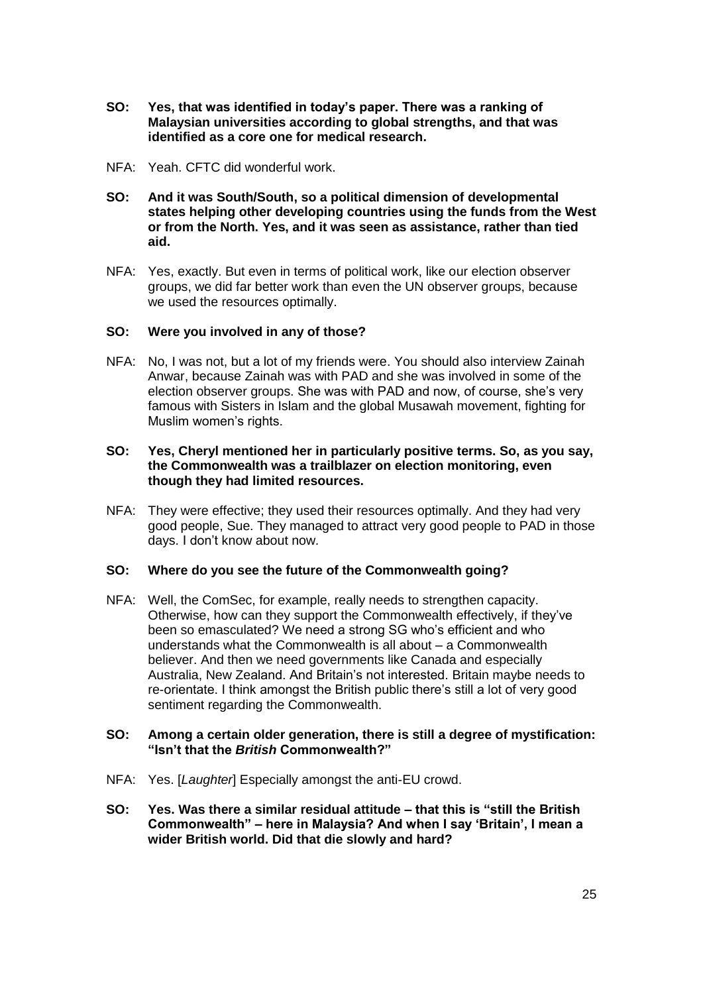- **SO: Yes, that was identified in today's paper. There was a ranking of Malaysian universities according to global strengths, and that was identified as a core one for medical research.**
- NFA: Yeah. CFTC did wonderful work.
- **SO: And it was South/South, so a political dimension of developmental states helping other developing countries using the funds from the West or from the North. Yes, and it was seen as assistance, rather than tied aid.**
- NFA: Yes, exactly. But even in terms of political work, like our election observer groups, we did far better work than even the UN observer groups, because we used the resources optimally.

# **SO: Were you involved in any of those?**

NFA: No, I was not, but a lot of my friends were. You should also interview Zainah Anwar, because Zainah was with PAD and she was involved in some of the election observer groups. She was with PAD and now, of course, she's very famous with Sisters in Islam and the global Musawah movement, fighting for Muslim women's rights.

### **SO: Yes, Cheryl mentioned her in particularly positive terms. So, as you say, the Commonwealth was a trailblazer on election monitoring, even though they had limited resources.**

NFA: They were effective; they used their resources optimally. And they had very good people, Sue. They managed to attract very good people to PAD in those days. I don't know about now.

# **SO: Where do you see the future of the Commonwealth going?**

NFA: Well, the ComSec, for example, really needs to strengthen capacity. Otherwise, how can they support the Commonwealth effectively, if they've been so emasculated? We need a strong SG who's efficient and who understands what the Commonwealth is all about – a Commonwealth believer. And then we need governments like Canada and especially Australia, New Zealand. And Britain's not interested. Britain maybe needs to re-orientate. I think amongst the British public there's still a lot of very good sentiment regarding the Commonwealth.

#### **SO: Among a certain older generation, there is still a degree of mystification: "Isn't that the** *British* **Commonwealth?"**

- NFA: Yes. [*Laughter*] Especially amongst the anti-EU crowd.
- **SO: Yes. Was there a similar residual attitude – that this is "still the British Commonwealth" – here in Malaysia? And when I say 'Britain', I mean a wider British world. Did that die slowly and hard?**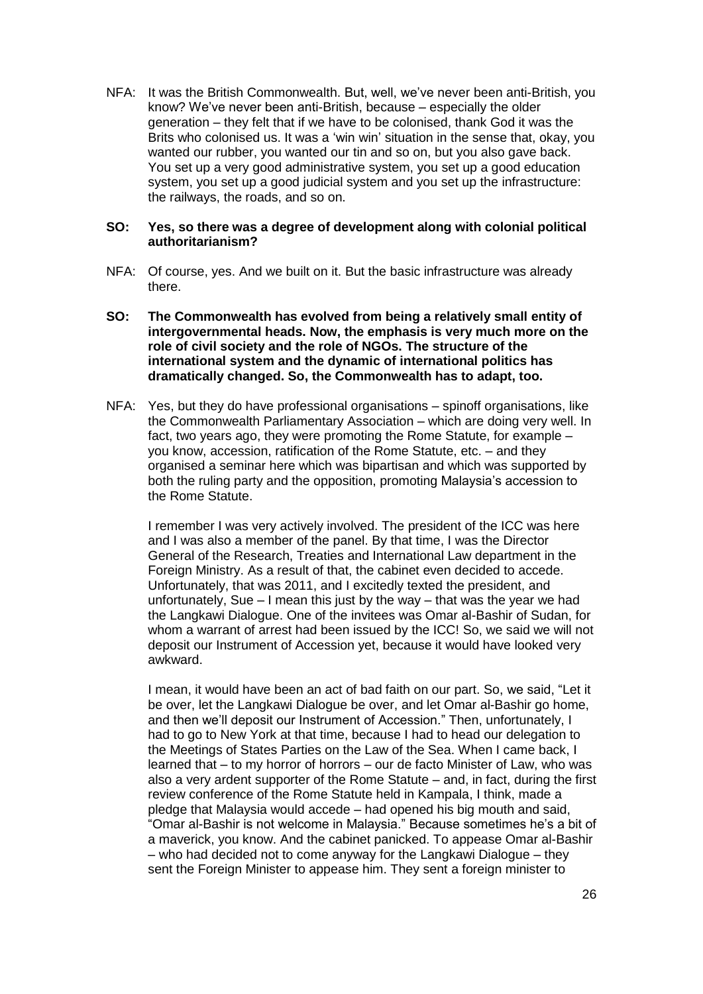NFA: It was the British Commonwealth. But, well, we've never been anti-British, you know? We've never been anti-British, because – especially the older generation – they felt that if we have to be colonised, thank God it was the Brits who colonised us. It was a 'win win' situation in the sense that, okay, you wanted our rubber, you wanted our tin and so on, but you also gave back. You set up a very good administrative system, you set up a good education system, you set up a good judicial system and you set up the infrastructure: the railways, the roads, and so on.

### **SO: Yes, so there was a degree of development along with colonial political authoritarianism?**

- NFA: Of course, yes. And we built on it. But the basic infrastructure was already there.
- **SO: The Commonwealth has evolved from being a relatively small entity of intergovernmental heads. Now, the emphasis is very much more on the role of civil society and the role of NGOs. The structure of the international system and the dynamic of international politics has dramatically changed. So, the Commonwealth has to adapt, too.**
- NFA: Yes, but they do have professional organisations spinoff organisations, like the Commonwealth Parliamentary Association – which are doing very well. In fact, two years ago, they were promoting the Rome Statute, for example – you know, accession, ratification of the Rome Statute, etc. – and they organised a seminar here which was bipartisan and which was supported by both the ruling party and the opposition, promoting Malaysia's accession to the Rome Statute.

I remember I was very actively involved. The president of the ICC was here and I was also a member of the panel. By that time, I was the Director General of the Research, Treaties and International Law department in the Foreign Ministry. As a result of that, the cabinet even decided to accede. Unfortunately, that was 2011, and I excitedly texted the president, and unfortunately, Sue – I mean this just by the way – that was the year we had the Langkawi Dialogue. One of the invitees was Omar al-Bashir of Sudan, for whom a warrant of arrest had been issued by the ICC! So, we said we will not deposit our Instrument of Accession yet, because it would have looked very awkward.

I mean, it would have been an act of bad faith on our part. So, we said, "Let it be over, let the Langkawi Dialogue be over, and let Omar al-Bashir go home, and then we'll deposit our Instrument of Accession." Then, unfortunately, I had to go to New York at that time, because I had to head our delegation to the Meetings of States Parties on the Law of the Sea. When I came back, I learned that – to my horror of horrors – our de facto Minister of Law, who was also a very ardent supporter of the Rome Statute – and, in fact, during the first review conference of the Rome Statute held in Kampala, I think, made a pledge that Malaysia would accede – had opened his big mouth and said, "Omar al-Bashir is not welcome in Malaysia." Because sometimes he's a bit of a maverick, you know. And the cabinet panicked. To appease Omar al-Bashir – who had decided not to come anyway for the Langkawi Dialogue – they sent the Foreign Minister to appease him. They sent a foreign minister to